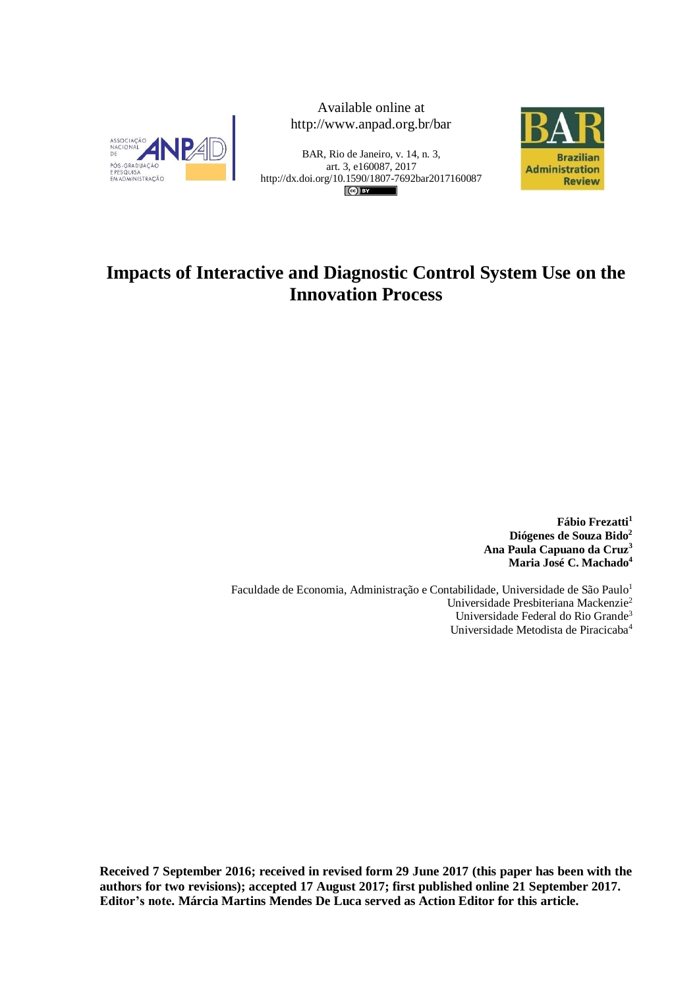



**Fábio Frezatti<sup>1</sup> Diógenes de Souza Bido<sup>2</sup> Ana Paula Capuano da Cruz<sup>3</sup> Maria José C. Machado<sup>4</sup>**

Faculdade de Economia, Administração e Contabilidade, Universidade de São Paulo<sup>1</sup> Universidade Presbiteriana Mackenzie<sup>2</sup> Universidade Federal do Rio Grande<sup>3</sup> Universidade Metodista de Piracicaba<sup>4</sup>

**Received 7 September 2016; received in revised form 29 June 2017 (this paper has been with the authors for two revisions); accepted 17 August 2017; first published online 21 September 2017. Editor's note. Márcia Martins Mendes De Luca served as Action Editor for this article.**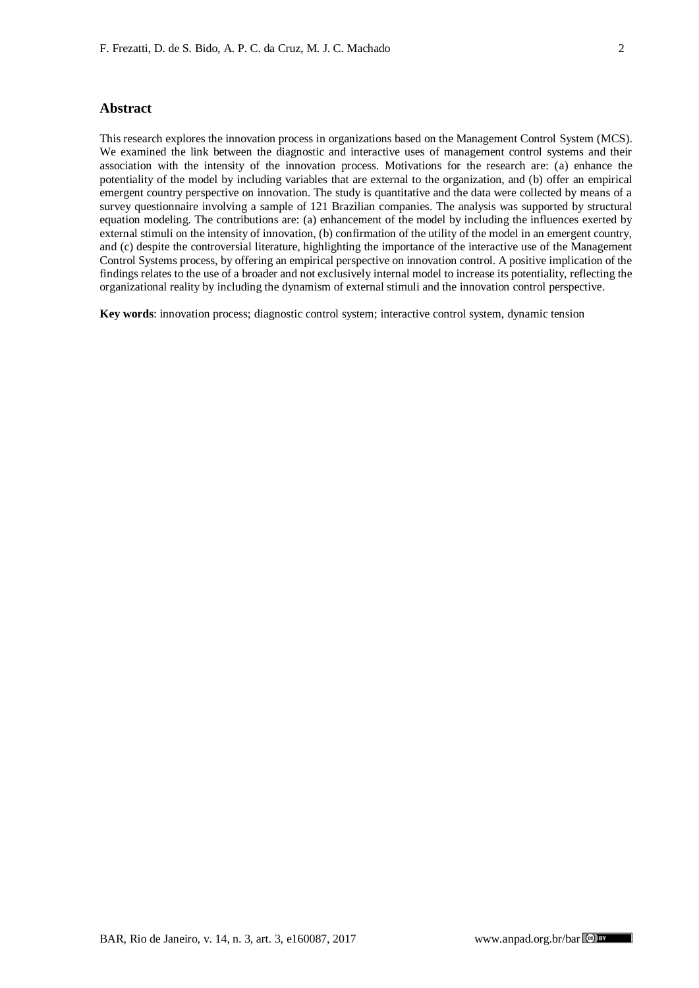# **Abstract**

This research explores the innovation process in organizations based on the Management Control System (MCS). We examined the link between the diagnostic and interactive uses of management control systems and their association with the intensity of the innovation process. Motivations for the research are: (a) enhance the potentiality of the model by including variables that are external to the organization, and (b) offer an empirical emergent country perspective on innovation. The study is quantitative and the data were collected by means of a survey questionnaire involving a sample of 121 Brazilian companies. The analysis was supported by structural equation modeling. The contributions are: (a) enhancement of the model by including the influences exerted by external stimuli on the intensity of innovation, (b) confirmation of the utility of the model in an emergent country, and (c) despite the controversial literature, highlighting the importance of the interactive use of the Management Control Systems process, by offering an empirical perspective on innovation control. A positive implication of the findings relates to the use of a broader and not exclusively internal model to increase its potentiality, reflecting the organizational reality by including the dynamism of external stimuli and the innovation control perspective.

**Key words**: innovation process; diagnostic control system; interactive control system, dynamic tension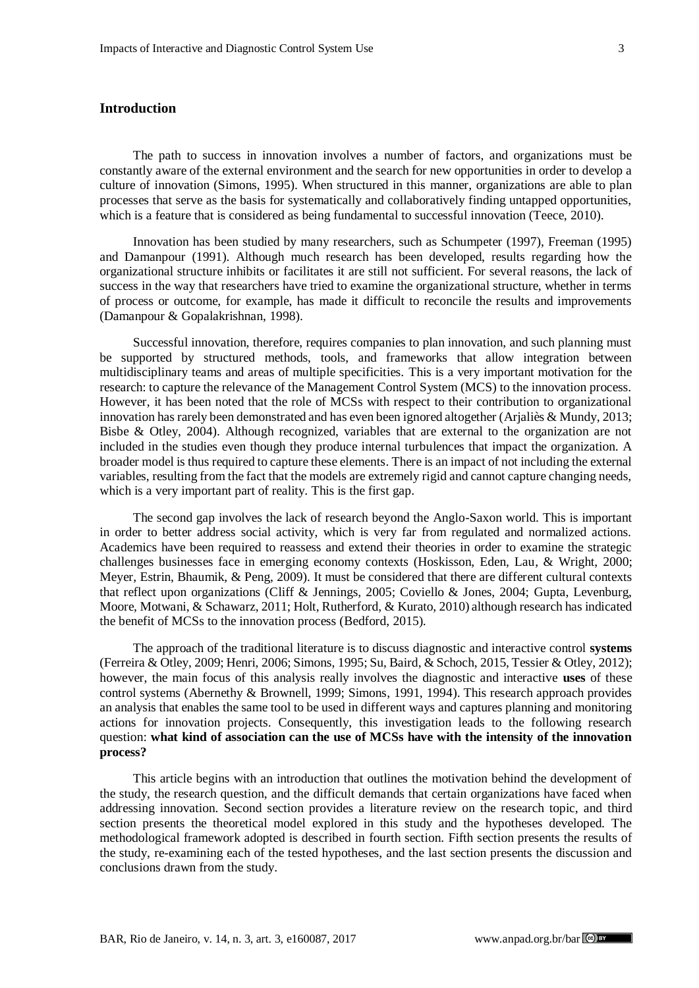The path to success in innovation involves a number of factors, and organizations must be constantly aware of the external environment and the search for new opportunities in order to develop a culture of innovation (Simons, 1995). When structured in this manner, organizations are able to plan processes that serve as the basis for systematically and collaboratively finding untapped opportunities, which is a feature that is considered as being fundamental to successful innovation (Teece, 2010).

Innovation has been studied by many researchers, such as Schumpeter (1997), Freeman (1995) and Damanpour (1991). Although much research has been developed, results regarding how the organizational structure inhibits or facilitates it are still not sufficient. For several reasons, the lack of success in the way that researchers have tried to examine the organizational structure, whether in terms of process or outcome, for example, has made it difficult to reconcile the results and improvements (Damanpour & Gopalakrishnan, 1998).

Successful innovation, therefore, requires companies to plan innovation, and such planning must be supported by structured methods, tools, and frameworks that allow integration between multidisciplinary teams and areas of multiple specificities. This is a very important motivation for the research: to capture the relevance of the Management Control System (MCS) to the innovation process. However, it has been noted that the role of MCSs with respect to their contribution to organizational innovation has rarely been demonstrated and has even been ignored altogether (Arjaliès & Mundy, 2013; Bisbe & Otley, 2004). Although recognized, variables that are external to the organization are not included in the studies even though they produce internal turbulences that impact the organization. A broader model is thus required to capture these elements. There is an impact of not including the external variables, resulting from the fact that the models are extremely rigid and cannot capture changing needs, which is a very important part of reality. This is the first gap.

The second gap involves the lack of research beyond the Anglo-Saxon world. This is important in order to better address social activity, which is very far from regulated and normalized actions. Academics have been required to reassess and extend their theories in order to examine the strategic challenges businesses face in emerging economy contexts (Hoskisson, Eden, Lau, & Wright, 2000; Meyer, Estrin, Bhaumik, & Peng, 2009). It must be considered that there are different cultural contexts that reflect upon organizations (Cliff & Jennings, 2005; Coviello & Jones, 2004; Gupta, Levenburg, Moore, Motwani, & Schawarz, 2011; Holt, Rutherford, & Kurato, 2010) although research has indicated the benefit of MCSs to the innovation process (Bedford, 2015).

The approach of the traditional literature is to discuss diagnostic and interactive control **systems** (Ferreira & Otley, 2009; Henri, 2006; Simons, 1995; Su, Baird, & Schoch, 2015, Tessier & Otley, 2012); however, the main focus of this analysis really involves the diagnostic and interactive **uses** of these control systems (Abernethy & Brownell, 1999; Simons, 1991, 1994). This research approach provides an analysis that enables the same tool to be used in different ways and captures planning and monitoring actions for innovation projects. Consequently, this investigation leads to the following research question: **what kind of association can the use of MCSs have with the intensity of the innovation process?** 

This article begins with an introduction that outlines the motivation behind the development of the study, the research question, and the difficult demands that certain organizations have faced when addressing innovation. Second section provides a literature review on the research topic, and third section presents the theoretical model explored in this study and the hypotheses developed. The methodological framework adopted is described in fourth section. Fifth section presents the results of the study, re-examining each of the tested hypotheses, and the last section presents the discussion and conclusions drawn from the study.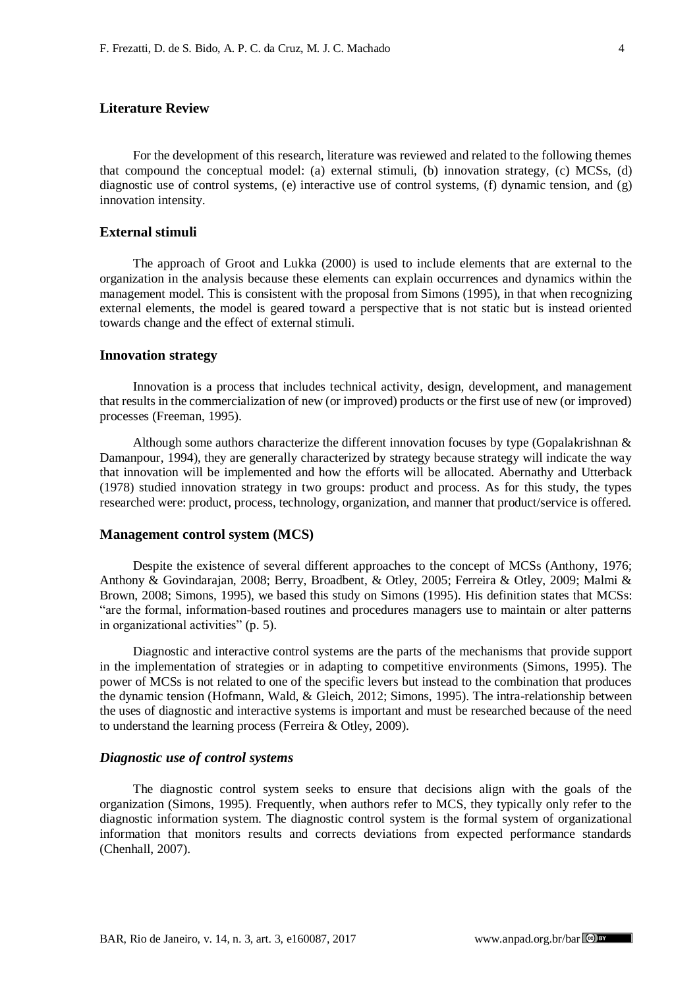## **Literature Review**

For the development of this research, literature was reviewed and related to the following themes that compound the conceptual model: (a) external stimuli, (b) innovation strategy, (c) MCSs, (d) diagnostic use of control systems, (e) interactive use of control systems, (f) dynamic tension, and (g) innovation intensity.

# **External stimuli**

The approach of Groot and Lukka (2000) is used to include elements that are external to the organization in the analysis because these elements can explain occurrences and dynamics within the management model. This is consistent with the proposal from Simons (1995), in that when recognizing external elements, the model is geared toward a perspective that is not static but is instead oriented towards change and the effect of external stimuli.

#### **Innovation strategy**

Innovation is a process that includes technical activity, design, development, and management that results in the commercialization of new (or improved) products or the first use of new (or improved) processes (Freeman, 1995).

Although some authors characterize the different innovation focuses by type (Gopalakrishnan  $\&$ Damanpour, 1994), they are generally characterized by strategy because strategy will indicate the way that innovation will be implemented and how the efforts will be allocated. Abernathy and Utterback (1978) studied innovation strategy in two groups: product and process. As for this study, the types researched were: product, process, technology, organization, and manner that product/service is offered.

#### **Management control system (MCS)**

Despite the existence of several different approaches to the concept of MCSs (Anthony, 1976; Anthony & Govindarajan, 2008; Berry, Broadbent, & Otley, 2005; Ferreira & Otley, 2009; Malmi & Brown, 2008; Simons, 1995), we based this study on Simons (1995). His definition states that MCSs: "are the formal, information-based routines and procedures managers use to maintain or alter patterns in organizational activities" (p. 5).

Diagnostic and interactive control systems are the parts of the mechanisms that provide support in the implementation of strategies or in adapting to competitive environments (Simons, 1995). The power of MCSs is not related to one of the specific levers but instead to the combination that produces the dynamic tension (Hofmann, Wald, & Gleich, 2012; Simons, 1995). The intra-relationship between the uses of diagnostic and interactive systems is important and must be researched because of the need to understand the learning process (Ferreira & Otley, 2009).

# *Diagnostic use of control systems*

The diagnostic control system seeks to ensure that decisions align with the goals of the organization (Simons, 1995). Frequently, when authors refer to MCS, they typically only refer to the diagnostic information system. The diagnostic control system is the formal system of organizational information that monitors results and corrects deviations from expected performance standards (Chenhall, 2007).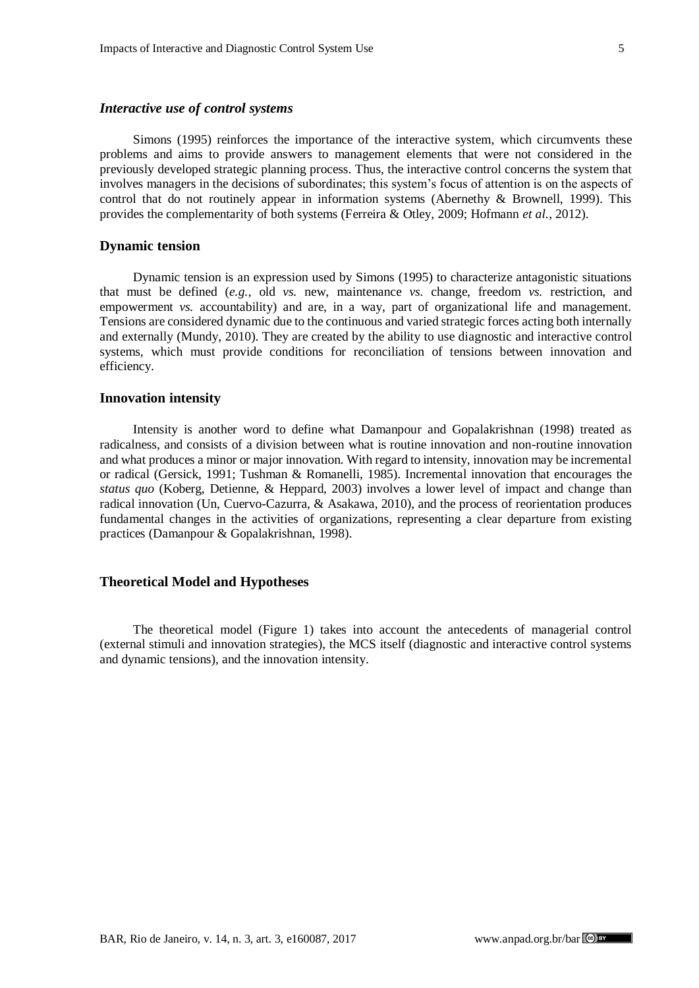#### *Interactive use of control systems*

Simons (1995) reinforces the importance of the interactive system, which circumvents these problems and aims to provide answers to management elements that were not considered in the previously developed strategic planning process. Thus, the interactive control concerns the system that involves managers in the decisions of subordinates; this system's focus of attention is on the aspects of control that do not routinely appear in information systems (Abernethy & Brownell, 1999). This provides the complementarity of both systems (Ferreira & Otley, 2009; Hofmann *et al.*, 2012).

#### **Dynamic tension**

Dynamic tension is an expression used by Simons (1995) to characterize antagonistic situations that must be defined (*e.g.*, old *vs.* new, maintenance *vs.* change, freedom *vs.* restriction, and empowerment *vs.* accountability) and are, in a way, part of organizational life and management. Tensions are considered dynamic due to the continuous and varied strategic forces acting both internally and externally (Mundy, 2010). They are created by the ability to use diagnostic and interactive control systems, which must provide conditions for reconciliation of tensions between innovation and efficiency.

#### **Innovation intensity**

Intensity is another word to define what Damanpour and Gopalakrishnan (1998) treated as radicalness, and consists of a division between what is routine innovation and non-routine innovation and what produces a minor or major innovation. With regard to intensity, innovation may be incremental or radical (Gersick, 1991; Tushman & Romanelli, 1985). Incremental innovation that encourages the *status quo* (Koberg, Detienne, & Heppard, 2003) involves a lower level of impact and change than radical innovation (Un, Cuervo-Cazurra, & Asakawa, 2010), and the process of reorientation produces fundamental changes in the activities of organizations, representing a clear departure from existing practices (Damanpour & Gopalakrishnan, 1998).

#### **Theoretical Model and Hypotheses**

The theoretical model (Figure 1) takes into account the antecedents of managerial control (external stimuli and innovation strategies), the MCS itself (diagnostic and interactive control systems and dynamic tensions), and the innovation intensity.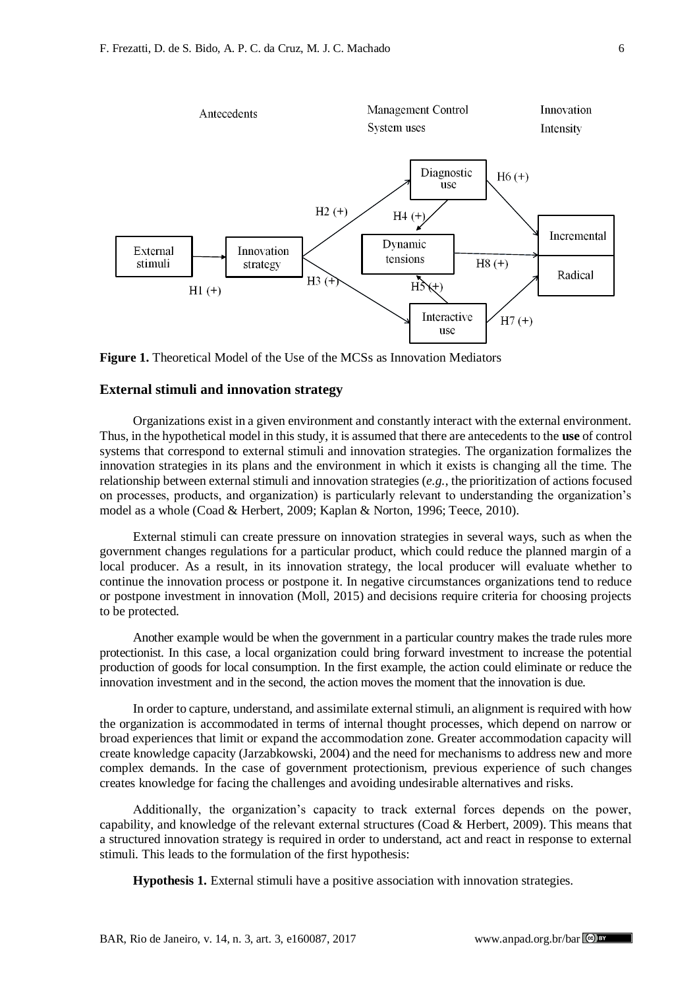

**Figure 1.** Theoretical Model of the Use of the MCSs as Innovation Mediators

# **External stimuli and innovation strategy**

Organizations exist in a given environment and constantly interact with the external environment. Thus, in the hypothetical model in this study, it is assumed that there are antecedents to the **use** of control systems that correspond to external stimuli and innovation strategies. The organization formalizes the innovation strategies in its plans and the environment in which it exists is changing all the time. The relationship between external stimuli and innovation strategies (*e.g.*, the prioritization of actions focused on processes, products, and organization) is particularly relevant to understanding the organization's model as a whole (Coad & Herbert, 2009; Kaplan & Norton, 1996; Teece, 2010).

External stimuli can create pressure on innovation strategies in several ways, such as when the government changes regulations for a particular product, which could reduce the planned margin of a local producer. As a result, in its innovation strategy, the local producer will evaluate whether to continue the innovation process or postpone it. In negative circumstances organizations tend to reduce or postpone investment in innovation (Moll, 2015) and decisions require criteria for choosing projects to be protected.

Another example would be when the government in a particular country makes the trade rules more protectionist. In this case, a local organization could bring forward investment to increase the potential production of goods for local consumption. In the first example, the action could eliminate or reduce the innovation investment and in the second, the action moves the moment that the innovation is due.

In order to capture, understand, and assimilate external stimuli, an alignment is required with how the organization is accommodated in terms of internal thought processes, which depend on narrow or broad experiences that limit or expand the accommodation zone. Greater accommodation capacity will create knowledge capacity (Jarzabkowski, 2004) and the need for mechanisms to address new and more complex demands. In the case of government protectionism, previous experience of such changes creates knowledge for facing the challenges and avoiding undesirable alternatives and risks.

Additionally, the organization's capacity to track external forces depends on the power, capability, and knowledge of the relevant external structures (Coad  $\&$  Herbert, 2009). This means that a structured innovation strategy is required in order to understand, act and react in response to external stimuli. This leads to the formulation of the first hypothesis:

**Hypothesis 1.** External stimuli have a positive association with innovation strategies.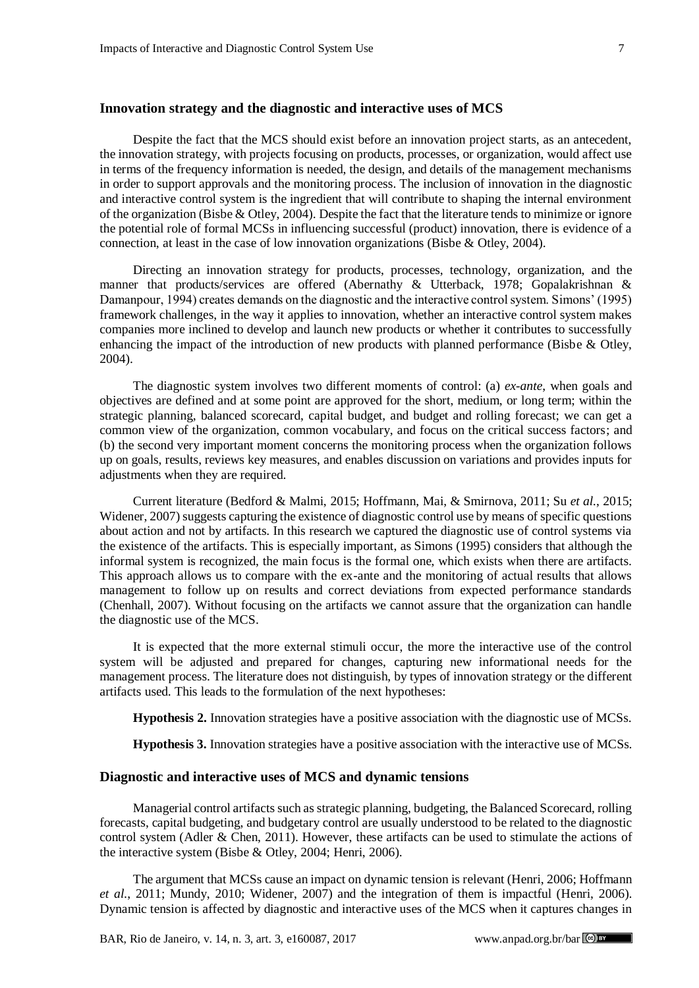## **Innovation strategy and the diagnostic and interactive uses of MCS**

Despite the fact that the MCS should exist before an innovation project starts, as an antecedent, the innovation strategy, with projects focusing on products, processes, or organization, would affect use in terms of the frequency information is needed, the design, and details of the management mechanisms in order to support approvals and the monitoring process. The inclusion of innovation in the diagnostic and interactive control system is the ingredient that will contribute to shaping the internal environment of the organization (Bisbe & Otley, 2004). Despite the fact that the literature tends to minimize or ignore the potential role of formal MCSs in influencing successful (product) innovation, there is evidence of a connection, at least in the case of low innovation organizations (Bisbe & Otley, 2004).

Directing an innovation strategy for products, processes, technology, organization, and the manner that products/services are offered (Abernathy & Utterback, 1978; Gopalakrishnan & Damanpour, 1994) creates demands on the diagnostic and the interactive control system. Simons' (1995) framework challenges, in the way it applies to innovation, whether an interactive control system makes companies more inclined to develop and launch new products or whether it contributes to successfully enhancing the impact of the introduction of new products with planned performance (Bisbe & Otley, 2004).

The diagnostic system involves two different moments of control: (a) *ex-ante*, when goals and objectives are defined and at some point are approved for the short, medium, or long term; within the strategic planning, balanced scorecard, capital budget, and budget and rolling forecast; we can get a common view of the organization, common vocabulary, and focus on the critical success factors; and (b) the second very important moment concerns the monitoring process when the organization follows up on goals, results, reviews key measures, and enables discussion on variations and provides inputs for adjustments when they are required.

Current literature (Bedford & Malmi, 2015; Hoffmann, Mai, & Smirnova, 2011; Su *et al.*, 2015; Widener, 2007) suggests capturing the existence of diagnostic control use by means of specific questions about action and not by artifacts. In this research we captured the diagnostic use of control systems via the existence of the artifacts. This is especially important, as Simons (1995) considers that although the informal system is recognized, the main focus is the formal one, which exists when there are artifacts. This approach allows us to compare with the ex-ante and the monitoring of actual results that allows management to follow up on results and correct deviations from expected performance standards (Chenhall, 2007). Without focusing on the artifacts we cannot assure that the organization can handle the diagnostic use of the MCS.

It is expected that the more external stimuli occur, the more the interactive use of the control system will be adjusted and prepared for changes, capturing new informational needs for the management process. The literature does not distinguish, by types of innovation strategy or the different artifacts used. This leads to the formulation of the next hypotheses:

**Hypothesis 2.** Innovation strategies have a positive association with the diagnostic use of MCSs.

**Hypothesis 3.** Innovation strategies have a positive association with the interactive use of MCSs.

## **Diagnostic and interactive uses of MCS and dynamic tensions**

Managerial control artifacts such as strategic planning, budgeting, the Balanced Scorecard, rolling forecasts, capital budgeting, and budgetary control are usually understood to be related to the diagnostic control system (Adler & Chen, 2011). However, these artifacts can be used to stimulate the actions of the interactive system (Bisbe & Otley, 2004; Henri, 2006).

The argument that MCSs cause an impact on dynamic tension is relevant (Henri, 2006; Hoffmann *et al.*, 2011; Mundy, 2010; Widener, 2007) and the integration of them is impactful (Henri, 2006). Dynamic tension is affected by diagnostic and interactive uses of the MCS when it captures changes in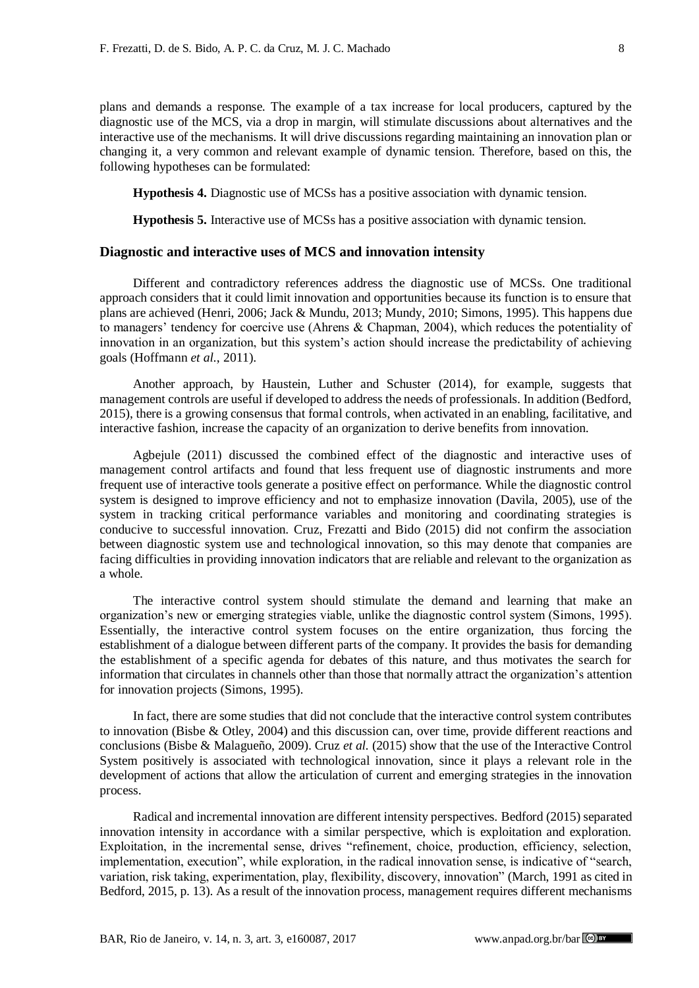plans and demands a response. The example of a tax increase for local producers, captured by the diagnostic use of the MCS, via a drop in margin, will stimulate discussions about alternatives and the interactive use of the mechanisms. It will drive discussions regarding maintaining an innovation plan or changing it, a very common and relevant example of dynamic tension. Therefore, based on this, the following hypotheses can be formulated:

**Hypothesis 4.** Diagnostic use of MCSs has a positive association with dynamic tension.

**Hypothesis 5.** Interactive use of MCSs has a positive association with dynamic tension.

# **Diagnostic and interactive uses of MCS and innovation intensity**

Different and contradictory references address the diagnostic use of MCSs. One traditional approach considers that it could limit innovation and opportunities because its function is to ensure that plans are achieved (Henri, 2006; Jack & Mundu, 2013; Mundy, 2010; Simons, 1995). This happens due to managers' tendency for coercive use (Ahrens & Chapman, 2004), which reduces the potentiality of innovation in an organization, but this system's action should increase the predictability of achieving goals (Hoffmann *et al.*, 2011).

Another approach, by Haustein, Luther and Schuster (2014), for example, suggests that management controls are useful if developed to address the needs of professionals. In addition (Bedford, 2015), there is a growing consensus that formal controls, when activated in an enabling, facilitative, and interactive fashion, increase the capacity of an organization to derive benefits from innovation.

Agbejule (2011) discussed the combined effect of the diagnostic and interactive uses of management control artifacts and found that less frequent use of diagnostic instruments and more frequent use of interactive tools generate a positive effect on performance. While the diagnostic control system is designed to improve efficiency and not to emphasize innovation (Davila, 2005), use of the system in tracking critical performance variables and monitoring and coordinating strategies is conducive to successful innovation. Cruz, Frezatti and Bido (2015) did not confirm the association between diagnostic system use and technological innovation, so this may denote that companies are facing difficulties in providing innovation indicators that are reliable and relevant to the organization as a whole.

The interactive control system should stimulate the demand and learning that make an organization's new or emerging strategies viable, unlike the diagnostic control system (Simons, 1995). Essentially, the interactive control system focuses on the entire organization, thus forcing the establishment of a dialogue between different parts of the company. It provides the basis for demanding the establishment of a specific agenda for debates of this nature, and thus motivates the search for information that circulates in channels other than those that normally attract the organization's attention for innovation projects (Simons, 1995).

In fact, there are some studies that did not conclude that the interactive control system contributes to innovation (Bisbe & Otley, 2004) and this discussion can, over time, provide different reactions and conclusions (Bisbe & Malagueño, 2009). Cruz *et al.* (2015) show that the use of the Interactive Control System positively is associated with technological innovation, since it plays a relevant role in the development of actions that allow the articulation of current and emerging strategies in the innovation process.

Radical and incremental innovation are different intensity perspectives. Bedford (2015) separated innovation intensity in accordance with a similar perspective, which is exploitation and exploration. Exploitation, in the incremental sense, drives "refinement, choice, production, efficiency, selection, implementation, execution", while exploration, in the radical innovation sense, is indicative of "search, variation, risk taking, experimentation, play, flexibility, discovery, innovation" (March, 1991 as cited in Bedford, 2015, p. 13). As a result of the innovation process, management requires different mechanisms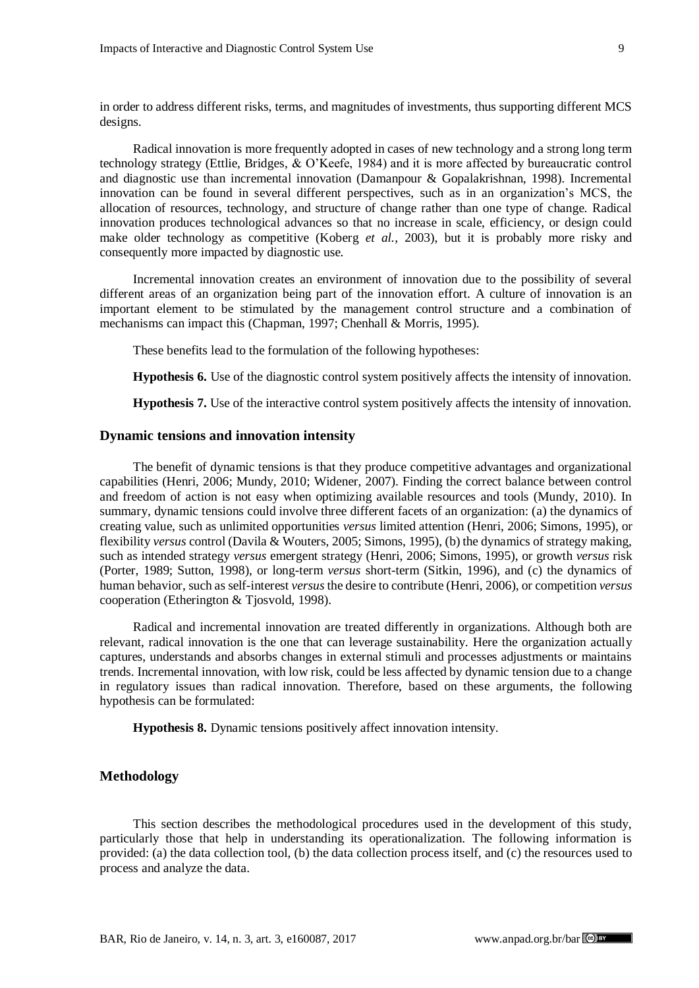in order to address different risks, terms, and magnitudes of investments, thus supporting different MCS designs.

Radical innovation is more frequently adopted in cases of new technology and a strong long term technology strategy (Ettlie, Bridges, & O'Keefe, 1984) and it is more affected by bureaucratic control and diagnostic use than incremental innovation (Damanpour & Gopalakrishnan, 1998). Incremental innovation can be found in several different perspectives, such as in an organization's MCS, the allocation of resources, technology, and structure of change rather than one type of change. Radical innovation produces technological advances so that no increase in scale, efficiency, or design could make older technology as competitive (Koberg *et al.*, 2003), but it is probably more risky and consequently more impacted by diagnostic use.

Incremental innovation creates an environment of innovation due to the possibility of several different areas of an organization being part of the innovation effort. A culture of innovation is an important element to be stimulated by the management control structure and a combination of mechanisms can impact this (Chapman, 1997; Chenhall & Morris, 1995).

These benefits lead to the formulation of the following hypotheses:

**Hypothesis 6.** Use of the diagnostic control system positively affects the intensity of innovation.

**Hypothesis 7.** Use of the interactive control system positively affects the intensity of innovation.

# **Dynamic tensions and innovation intensity**

The benefit of dynamic tensions is that they produce competitive advantages and organizational capabilities (Henri, 2006; Mundy, 2010; Widener, 2007). Finding the correct balance between control and freedom of action is not easy when optimizing available resources and tools (Mundy, 2010). In summary, dynamic tensions could involve three different facets of an organization: (a) the dynamics of creating value, such as unlimited opportunities *versus* limited attention (Henri, 2006; Simons, 1995), or flexibility *versus* control (Davila & Wouters, 2005; Simons, 1995), (b) the dynamics of strategy making, such as intended strategy *versus* emergent strategy (Henri, 2006; Simons, 1995), or growth *versus* risk (Porter, 1989; Sutton, 1998), or long-term *versus* short-term (Sitkin, 1996), and (c) the dynamics of human behavior, such as self-interest *versus* the desire to contribute (Henri, 2006), or competition *versus* cooperation (Etherington & Tjosvold, 1998).

Radical and incremental innovation are treated differently in organizations. Although both are relevant, radical innovation is the one that can leverage sustainability. Here the organization actually captures, understands and absorbs changes in external stimuli and processes adjustments or maintains trends. Incremental innovation, with low risk, could be less affected by dynamic tension due to a change in regulatory issues than radical innovation. Therefore, based on these arguments, the following hypothesis can be formulated:

**Hypothesis 8.** Dynamic tensions positively affect innovation intensity.

## **Methodology**

This section describes the methodological procedures used in the development of this study, particularly those that help in understanding its operationalization. The following information is provided: (a) the data collection tool, (b) the data collection process itself, and (c) the resources used to process and analyze the data.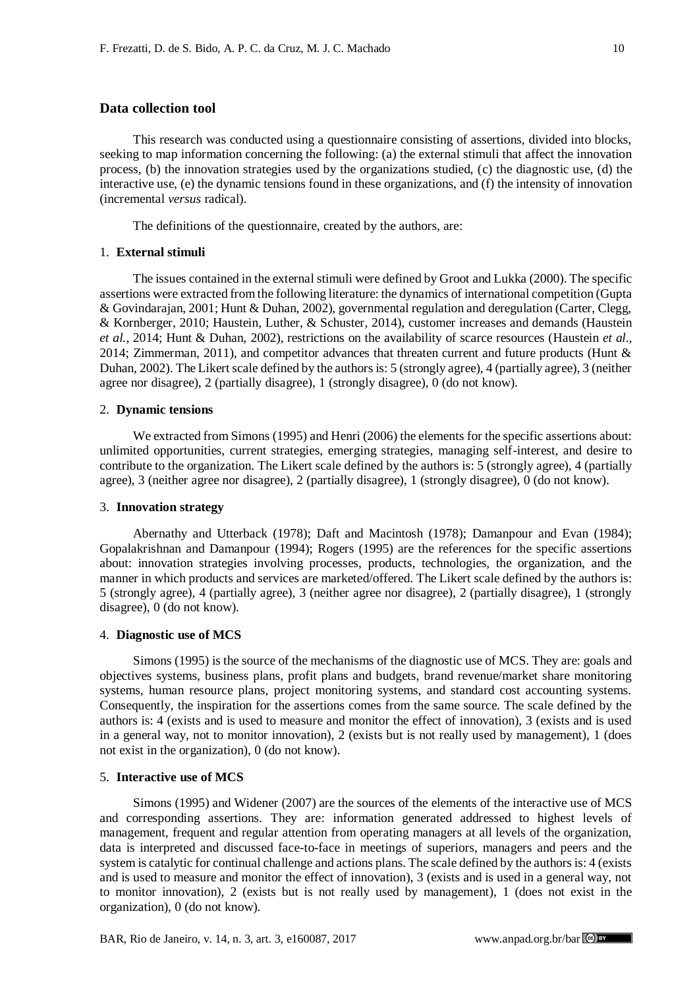# **Data collection tool**

This research was conducted using a questionnaire consisting of assertions, divided into blocks, seeking to map information concerning the following: (a) the external stimuli that affect the innovation process, (b) the innovation strategies used by the organizations studied, (c) the diagnostic use, (d) the interactive use, (e) the dynamic tensions found in these organizations, and (f) the intensity of innovation (incremental *versus* radical).

The definitions of the questionnaire, created by the authors, are:

#### 1. **External stimuli**

The issues contained in the external stimuli were defined by Groot and Lukka (2000). The specific assertions were extracted from the following literature: the dynamics of international competition (Gupta & Govindarajan, 2001; Hunt & Duhan, 2002), governmental regulation and deregulation (Carter, Clegg, & Kornberger, 2010; Haustein, Luther, & Schuster, 2014), customer increases and demands (Haustein *et al.*, 2014; Hunt & Duhan, 2002), restrictions on the availability of scarce resources (Haustein *et al.,* 2014; Zimmerman, 2011), and competitor advances that threaten current and future products (Hunt & Duhan, 2002). The Likert scale defined by the authors is: 5 (strongly agree), 4 (partially agree), 3 (neither agree nor disagree), 2 (partially disagree), 1 (strongly disagree), 0 (do not know).

#### 2. **Dynamic tensions**

We extracted from Simons (1995) and Henri (2006) the elements for the specific assertions about: unlimited opportunities, current strategies, emerging strategies, managing self-interest, and desire to contribute to the organization. The Likert scale defined by the authors is: 5 (strongly agree), 4 (partially agree), 3 (neither agree nor disagree), 2 (partially disagree), 1 (strongly disagree), 0 (do not know).

#### 3. **Innovation strategy**

Abernathy and Utterback (1978); Daft and Macintosh (1978); Damanpour and Evan (1984); Gopalakrishnan and Damanpour (1994); Rogers (1995) are the references for the specific assertions about: innovation strategies involving processes, products, technologies, the organization, and the manner in which products and services are marketed/offered. The Likert scale defined by the authors is: 5 (strongly agree), 4 (partially agree), 3 (neither agree nor disagree), 2 (partially disagree), 1 (strongly disagree), 0 (do not know).

#### 4. **Diagnostic use of MCS**

Simons (1995) is the source of the mechanisms of the diagnostic use of MCS. They are: goals and objectives systems, business plans, profit plans and budgets, brand revenue/market share monitoring systems, human resource plans, project monitoring systems, and standard cost accounting systems. Consequently, the inspiration for the assertions comes from the same source. The scale defined by the authors is: 4 (exists and is used to measure and monitor the effect of innovation), 3 (exists and is used in a general way, not to monitor innovation), 2 (exists but is not really used by management), 1 (does not exist in the organization), 0 (do not know).

#### 5. **Interactive use of MCS**

Simons (1995) and Widener (2007) are the sources of the elements of the interactive use of MCS and corresponding assertions. They are: information generated addressed to highest levels of management, frequent and regular attention from operating managers at all levels of the organization, data is interpreted and discussed face-to-face in meetings of superiors, managers and peers and the system is catalytic for continual challenge and actions plans. The scale defined by the authors is: 4 (exists and is used to measure and monitor the effect of innovation), 3 (exists and is used in a general way, not to monitor innovation), 2 (exists but is not really used by management), 1 (does not exist in the organization), 0 (do not know).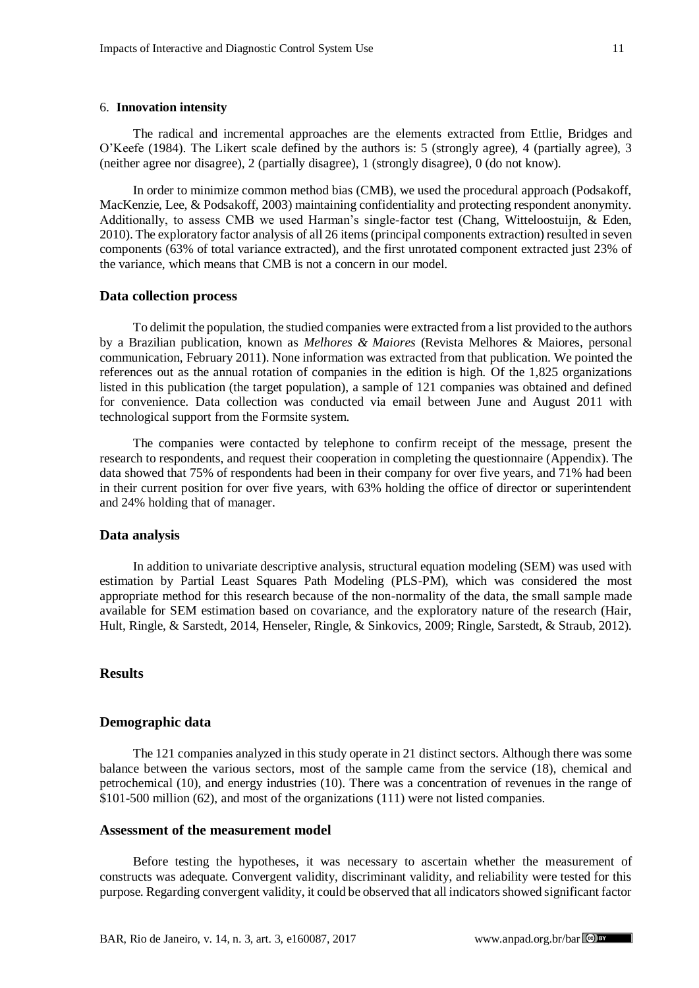#### 6. **Innovation intensity**

The radical and incremental approaches are the elements extracted from Ettlie, Bridges and O'Keefe (1984). The Likert scale defined by the authors is: 5 (strongly agree), 4 (partially agree), 3 (neither agree nor disagree), 2 (partially disagree), 1 (strongly disagree), 0 (do not know).

In order to minimize common method bias (CMB), we used the procedural approach (Podsakoff, MacKenzie, Lee, & Podsakoff, 2003) maintaining confidentiality and protecting respondent anonymity. Additionally, to assess CMB we used Harman's single-factor test (Chang, Witteloostuijn, & Eden, 2010). The exploratory factor analysis of all 26 items (principal components extraction) resulted in seven components (63% of total variance extracted), and the first unrotated component extracted just 23% of the variance, which means that CMB is not a concern in our model.

#### **Data collection process**

To delimit the population, the studied companies were extracted from a list provided to the authors by a Brazilian publication, known as *Melhores & Maiores* (Revista Melhores & Maiores, personal communication, February 2011). None information was extracted from that publication. We pointed the references out as the annual rotation of companies in the edition is high. Of the 1,825 organizations listed in this publication (the target population), a sample of 121 companies was obtained and defined for convenience. Data collection was conducted via email between June and August 2011 with technological support from the Formsite system.

The companies were contacted by telephone to confirm receipt of the message, present the research to respondents, and request their cooperation in completing the questionnaire (Appendix). The data showed that 75% of respondents had been in their company for over five years, and  $\frac{71}{9}$  had been in their current position for over five years, with 63% holding the office of director or superintendent and 24% holding that of manager.

# **Data analysis**

In addition to univariate descriptive analysis, structural equation modeling (SEM) was used with estimation by Partial Least Squares Path Modeling (PLS-PM), which was considered the most appropriate method for this research because of the non-normality of the data, the small sample made available for SEM estimation based on covariance, and the exploratory nature of the research (Hair, Hult, Ringle, & Sarstedt, 2014, Henseler, Ringle, & Sinkovics, 2009; Ringle, Sarstedt, & Straub, 2012).

# **Results**

#### **Demographic data**

The 121 companies analyzed in this study operate in 21 distinct sectors. Although there was some balance between the various sectors, most of the sample came from the service (18), chemical and petrochemical (10), and energy industries (10). There was a concentration of revenues in the range of \$101-500 million (62), and most of the organizations (111) were not listed companies.

### **Assessment of the measurement model**

Before testing the hypotheses, it was necessary to ascertain whether the measurement of constructs was adequate. Convergent validity, discriminant validity, and reliability were tested for this purpose. Regarding convergent validity, it could be observed that all indicators showed significant factor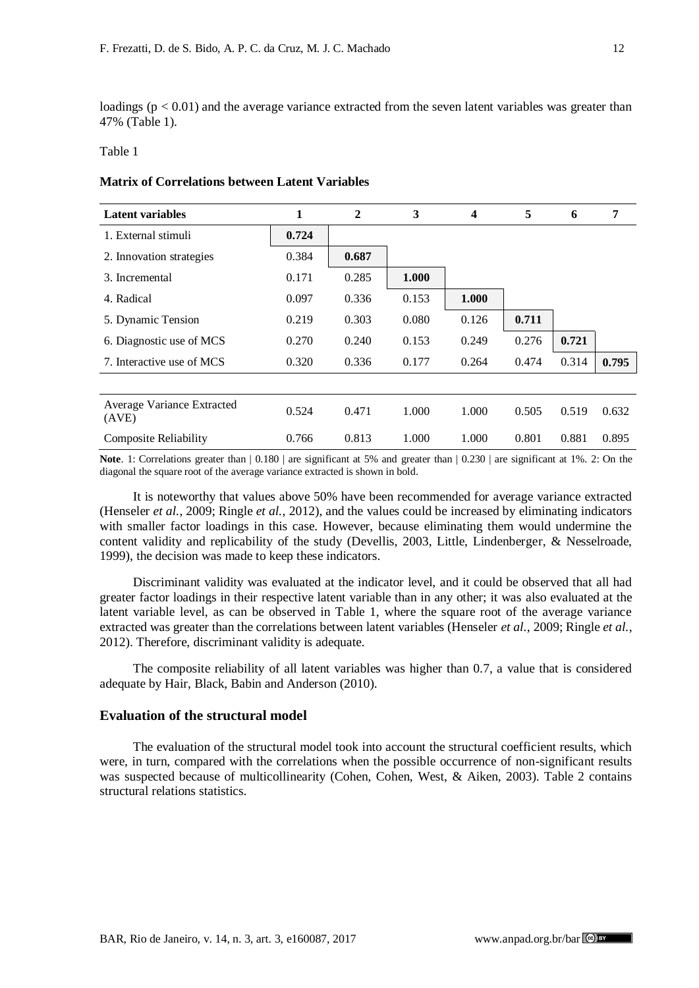loadings ( $p < 0.01$ ) and the average variance extracted from the seven latent variables was greater than 47% (Table 1).

#### Table 1

#### **Matrix of Correlations between Latent Variables**

| <b>Latent variables</b>             | 1     | $\boldsymbol{2}$ | 3     | 4     | 5     | 6     | 7     |
|-------------------------------------|-------|------------------|-------|-------|-------|-------|-------|
| 1. External stimuli                 | 0.724 |                  |       |       |       |       |       |
| 2. Innovation strategies            | 0.384 | 0.687            |       |       |       |       |       |
| 3. Incremental                      | 0.171 | 0.285            | 1.000 |       |       |       |       |
| 4. Radical                          | 0.097 | 0.336            | 0.153 | 1.000 |       |       |       |
| 5. Dynamic Tension                  | 0.219 | 0.303            | 0.080 | 0.126 | 0.711 |       |       |
| 6. Diagnostic use of MCS            | 0.270 | 0.240            | 0.153 | 0.249 | 0.276 | 0.721 |       |
| 7. Interactive use of MCS           | 0.320 | 0.336            | 0.177 | 0.264 | 0.474 | 0.314 | 0.795 |
|                                     |       |                  |       |       |       |       |       |
| Average Variance Extracted<br>(AVE) | 0.524 | 0.471            | 1.000 | 1.000 | 0.505 | 0.519 | 0.632 |
| <b>Composite Reliability</b>        | 0.766 | 0.813            | 1.000 | 1.000 | 0.801 | 0.881 | 0.895 |

**Note**. 1: Correlations greater than  $\vert 0.180 \vert$  are significant at 5% and greater than  $\vert 0.230 \vert$  are significant at 1%. 2: On the diagonal the square root of the average variance extracted is shown in bold.

It is noteworthy that values above 50% have been recommended for average variance extracted (Henseler *et al.*, 2009; Ringle *et al.*, 2012), and the values could be increased by eliminating indicators with smaller factor loadings in this case. However, because eliminating them would undermine the content validity and replicability of the study (Devellis, 2003, Little, Lindenberger, & Nesselroade, 1999), the decision was made to keep these indicators.

Discriminant validity was evaluated at the indicator level, and it could be observed that all had greater factor loadings in their respective latent variable than in any other; it was also evaluated at the latent variable level, as can be observed in Table 1, where the square root of the average variance extracted was greater than the correlations between latent variables (Henseler *et al.*, 2009; Ringle *et al.*, 2012). Therefore, discriminant validity is adequate.

The composite reliability of all latent variables was higher than 0.7, a value that is considered adequate by Hair, Black, Babin and Anderson (2010).

# **Evaluation of the structural model**

The evaluation of the structural model took into account the structural coefficient results, which were, in turn, compared with the correlations when the possible occurrence of non-significant results was suspected because of multicollinearity (Cohen, Cohen, West, & Aiken, 2003). Table 2 contains structural relations statistics.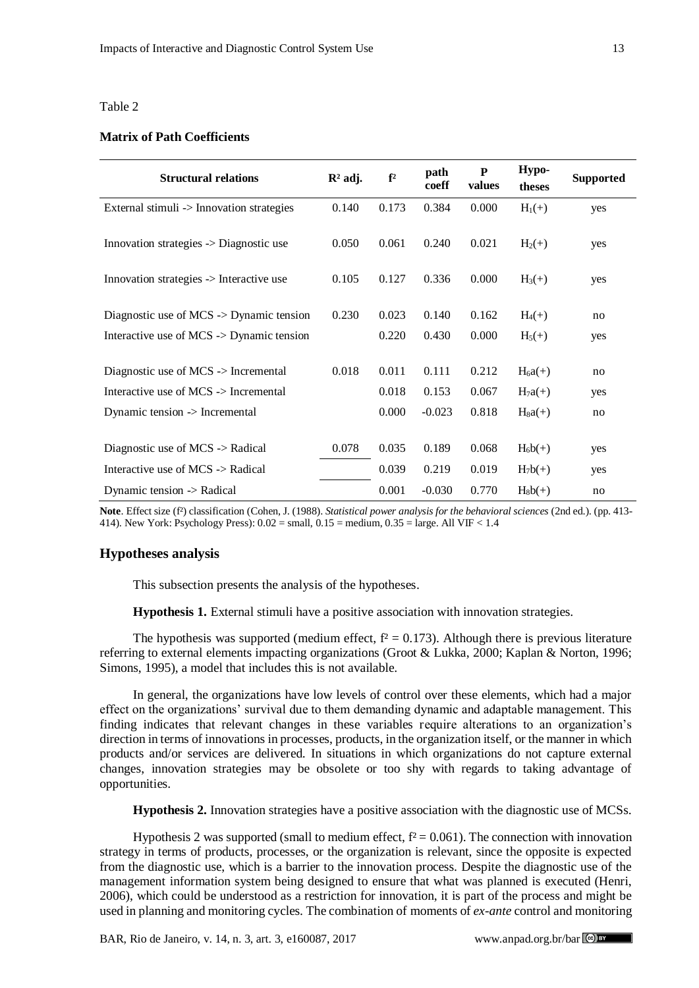#### Table 2

# **Matrix of Path Coefficients**

| <b>Structural relations</b>                          | $\mathbb{R}^2$ adj. | $\mathbf{f}^2$ | path<br>coeff | P<br>values | Hypo-<br>theses | <b>Supported</b> |
|------------------------------------------------------|---------------------|----------------|---------------|-------------|-----------------|------------------|
| External stimuli -> Innovation strategies            | 0.140               | 0.173          | 0.384         | 0.000       | $H_1(+)$        | yes              |
| Innovation strategies -> Diagnostic use              | 0.050               | 0.061          | 0.240         | 0.021       | $H_2(+)$        | yes              |
| Innovation strategies -> Interactive use             | 0.105               | 0.127          | 0.336         | 0.000       | $H_3(+)$        | yes              |
| Diagnostic use of MCS -> Dynamic tension             | 0.230               | 0.023          | 0.140         | 0.162       | $H_4(+)$        | no               |
| Interactive use of $MCS \rightarrow Dynamic$ tension |                     | 0.220          | 0.430         | 0.000       | $H_5(+)$        | yes              |
| Diagnostic use of MCS -> Incremental                 | 0.018               | 0.011          | 0.111         | 0.212       | $H6a(+)$        | no               |
| Interactive use of MCS -> Incremental                |                     | 0.018          | 0.153         | 0.067       | $H7a(+)$        | yes              |
| Dynamic tension -> Incremental                       |                     | 0.000          | $-0.023$      | 0.818       | $H_8a(+)$       | no               |
| Diagnostic use of MCS -> Radical                     | 0.078               | 0.035          | 0.189         | 0.068       | $H_6b(+)$       | yes              |
| Interactive use of MCS -> Radical                    |                     | 0.039          | 0.219         | 0.019       | $H_7b(+)$       | yes              |
| Dynamic tension -> Radical                           |                     | 0.001          | $-0.030$      | 0.770       | $H_8b(+)$       | no               |

**Note**. Effect size (f²) classification (Cohen, J. (1988). *Statistical power analysis for the behavioral sciences* (2nd ed.). (pp. 413- 414). New York: Psychology Press):  $0.02 = \text{small}, 0.15 = \text{medium}, 0.35 = \text{large}.$  All VIF  $< 1.4$ 

#### **Hypotheses analysis**

This subsection presents the analysis of the hypotheses.

**Hypothesis 1.** External stimuli have a positive association with innovation strategies.

The hypothesis was supported (medium effect,  $f^2 = 0.173$ ). Although there is previous literature referring to external elements impacting organizations (Groot & Lukka, 2000; Kaplan & Norton, 1996; Simons, 1995), a model that includes this is not available.

In general, the organizations have low levels of control over these elements, which had a major effect on the organizations' survival due to them demanding dynamic and adaptable management. This finding indicates that relevant changes in these variables require alterations to an organization's direction in terms of innovations in processes, products, in the organization itself, or the manner in which products and/or services are delivered. In situations in which organizations do not capture external changes, innovation strategies may be obsolete or too shy with regards to taking advantage of opportunities.

**Hypothesis 2.** Innovation strategies have a positive association with the diagnostic use of MCSs.

Hypothesis 2 was supported (small to medium effect,  $f^2 = 0.061$ ). The connection with innovation strategy in terms of products, processes, or the organization is relevant, since the opposite is expected from the diagnostic use, which is a barrier to the innovation process. Despite the diagnostic use of the management information system being designed to ensure that what was planned is executed (Henri, 2006), which could be understood as a restriction for innovation, it is part of the process and might be used in planning and monitoring cycles. The combination of moments of *ex-ante* control and monitoring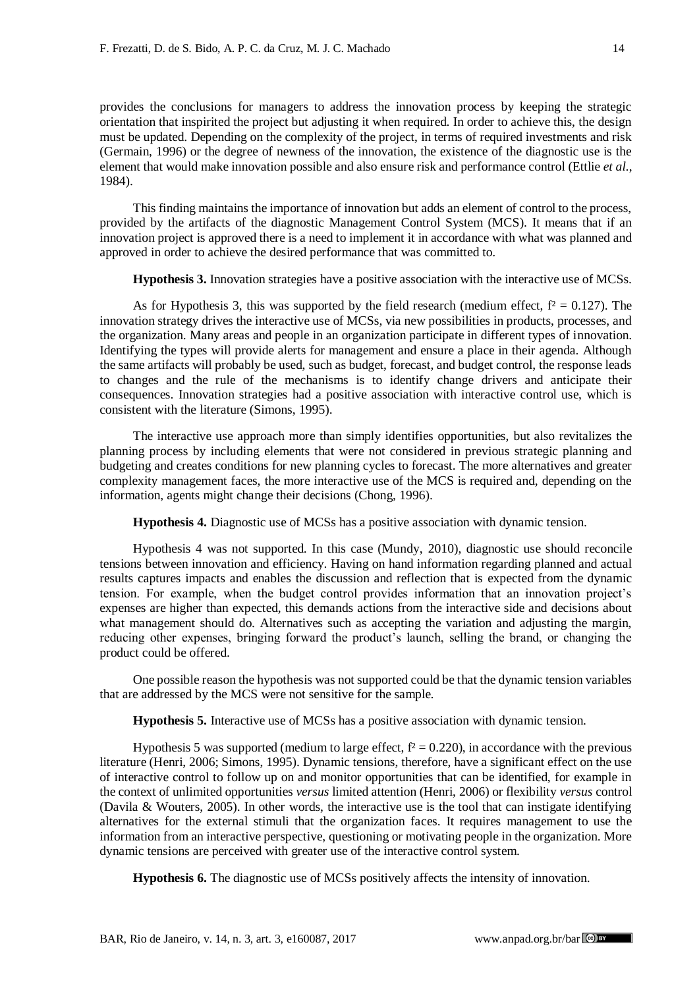provides the conclusions for managers to address the innovation process by keeping the strategic orientation that inspirited the project but adjusting it when required. In order to achieve this, the design must be updated. Depending on the complexity of the project, in terms of required investments and risk (Germain, 1996) or the degree of newness of the innovation, the existence of the diagnostic use is the element that would make innovation possible and also ensure risk and performance control (Ettlie *et al.*, 1984).

This finding maintains the importance of innovation but adds an element of control to the process, provided by the artifacts of the diagnostic Management Control System (MCS). It means that if an innovation project is approved there is a need to implement it in accordance with what was planned and approved in order to achieve the desired performance that was committed to.

**Hypothesis 3.** Innovation strategies have a positive association with the interactive use of MCSs.

As for Hypothesis 3, this was supported by the field research (medium effect,  $f^2 = 0.127$ ). The innovation strategy drives the interactive use of MCSs, via new possibilities in products, processes, and the organization. Many areas and people in an organization participate in different types of innovation. Identifying the types will provide alerts for management and ensure a place in their agenda. Although the same artifacts will probably be used, such as budget, forecast, and budget control, the response leads to changes and the rule of the mechanisms is to identify change drivers and anticipate their consequences. Innovation strategies had a positive association with interactive control use, which is consistent with the literature (Simons, 1995).

The interactive use approach more than simply identifies opportunities, but also revitalizes the planning process by including elements that were not considered in previous strategic planning and budgeting and creates conditions for new planning cycles to forecast. The more alternatives and greater complexity management faces, the more interactive use of the MCS is required and, depending on the information, agents might change their decisions (Chong, 1996).

**Hypothesis 4.** Diagnostic use of MCSs has a positive association with dynamic tension.

Hypothesis 4 was not supported. In this case (Mundy, 2010), diagnostic use should reconcile tensions between innovation and efficiency. Having on hand information regarding planned and actual results captures impacts and enables the discussion and reflection that is expected from the dynamic tension. For example, when the budget control provides information that an innovation project's expenses are higher than expected, this demands actions from the interactive side and decisions about what management should do. Alternatives such as accepting the variation and adjusting the margin, reducing other expenses, bringing forward the product's launch, selling the brand, or changing the product could be offered.

One possible reason the hypothesis was not supported could be that the dynamic tension variables that are addressed by the MCS were not sensitive for the sample.

**Hypothesis 5.** Interactive use of MCSs has a positive association with dynamic tension.

Hypothesis 5 was supported (medium to large effect,  $f^2 = 0.220$ ), in accordance with the previous literature (Henri, 2006; Simons, 1995). Dynamic tensions, therefore, have a significant effect on the use of interactive control to follow up on and monitor opportunities that can be identified, for example in the context of unlimited opportunities *versus* limited attention (Henri, 2006) or flexibility *versus* control (Davila & Wouters, 2005). In other words, the interactive use is the tool that can instigate identifying alternatives for the external stimuli that the organization faces. It requires management to use the information from an interactive perspective, questioning or motivating people in the organization. More dynamic tensions are perceived with greater use of the interactive control system.

**Hypothesis 6.** The diagnostic use of MCSs positively affects the intensity of innovation.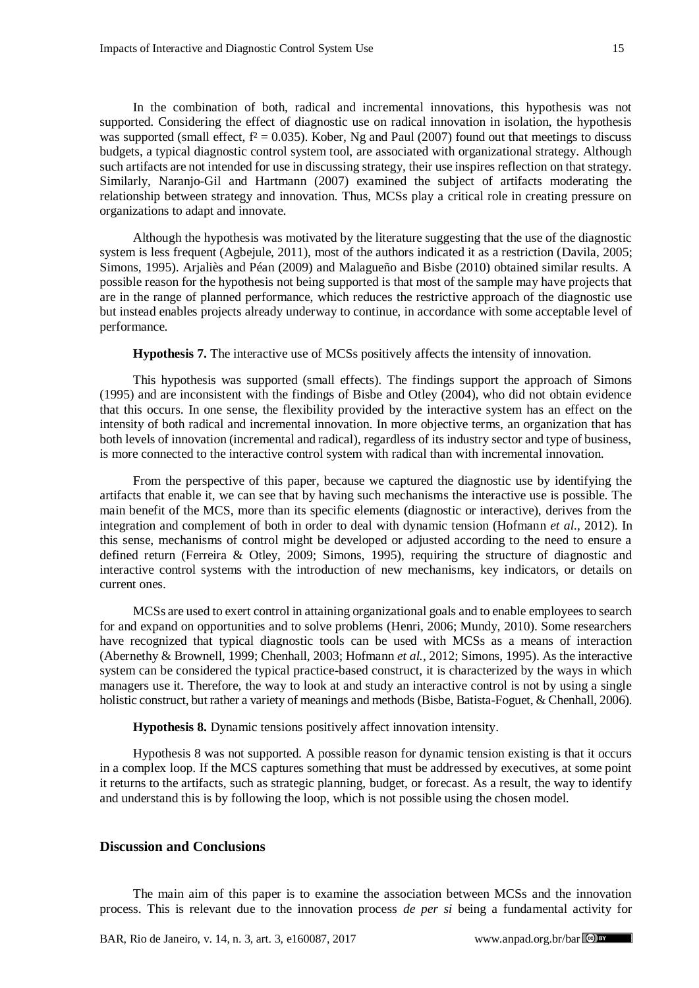In the combination of both, radical and incremental innovations, this hypothesis was not supported. Considering the effect of diagnostic use on radical innovation in isolation, the hypothesis was supported (small effect,  $f^2 = 0.035$ ). Kober, Ng and Paul (2007) found out that meetings to discuss budgets, a typical diagnostic control system tool, are associated with organizational strategy. Although such artifacts are not intended for use in discussing strategy, their use inspires reflection on that strategy. Similarly, Naranjo-Gil and Hartmann (2007) examined the subject of artifacts moderating the relationship between strategy and innovation. Thus, MCSs play a critical role in creating pressure on organizations to adapt and innovate.

Although the hypothesis was motivated by the literature suggesting that the use of the diagnostic system is less frequent (Agbejule, 2011), most of the authors indicated it as a restriction (Davila, 2005; Simons, 1995). Arjaliès and Péan (2009) and Malagueño and Bisbe (2010) obtained similar results. A possible reason for the hypothesis not being supported is that most of the sample may have projects that are in the range of planned performance, which reduces the restrictive approach of the diagnostic use but instead enables projects already underway to continue, in accordance with some acceptable level of performance.

**Hypothesis 7.** The interactive use of MCSs positively affects the intensity of innovation.

This hypothesis was supported (small effects). The findings support the approach of Simons (1995) and are inconsistent with the findings of Bisbe and Otley (2004), who did not obtain evidence that this occurs. In one sense, the flexibility provided by the interactive system has an effect on the intensity of both radical and incremental innovation. In more objective terms, an organization that has both levels of innovation (incremental and radical), regardless of its industry sector and type of business, is more connected to the interactive control system with radical than with incremental innovation.

From the perspective of this paper, because we captured the diagnostic use by identifying the artifacts that enable it, we can see that by having such mechanisms the interactive use is possible. The main benefit of the MCS, more than its specific elements (diagnostic or interactive), derives from the integration and complement of both in order to deal with dynamic tension (Hofmann *et al.,* 2012). In this sense, mechanisms of control might be developed or adjusted according to the need to ensure a defined return (Ferreira & Otley, 2009; Simons, 1995), requiring the structure of diagnostic and interactive control systems with the introduction of new mechanisms, key indicators, or details on current ones.

MCSs are used to exert control in attaining organizational goals and to enable employees to search for and expand on opportunities and to solve problems (Henri, 2006; Mundy, 2010). Some researchers have recognized that typical diagnostic tools can be used with MCSs as a means of interaction (Abernethy & Brownell, 1999; Chenhall, 2003; Hofmann *et al.*, 2012; Simons, 1995). As the interactive system can be considered the typical practice-based construct, it is characterized by the ways in which managers use it. Therefore, the way to look at and study an interactive control is not by using a single holistic construct, but rather a variety of meanings and methods (Bisbe, Batista-Foguet, & Chenhall, 2006).

**Hypothesis 8.** Dynamic tensions positively affect innovation intensity.

Hypothesis 8 was not supported. A possible reason for dynamic tension existing is that it occurs in a complex loop. If the MCS captures something that must be addressed by executives, at some point it returns to the artifacts, such as strategic planning, budget, or forecast. As a result, the way to identify and understand this is by following the loop, which is not possible using the chosen model.

# **Discussion and Conclusions**

The main aim of this paper is to examine the association between MCSs and the innovation process. This is relevant due to the innovation process *de per si* being a fundamental activity for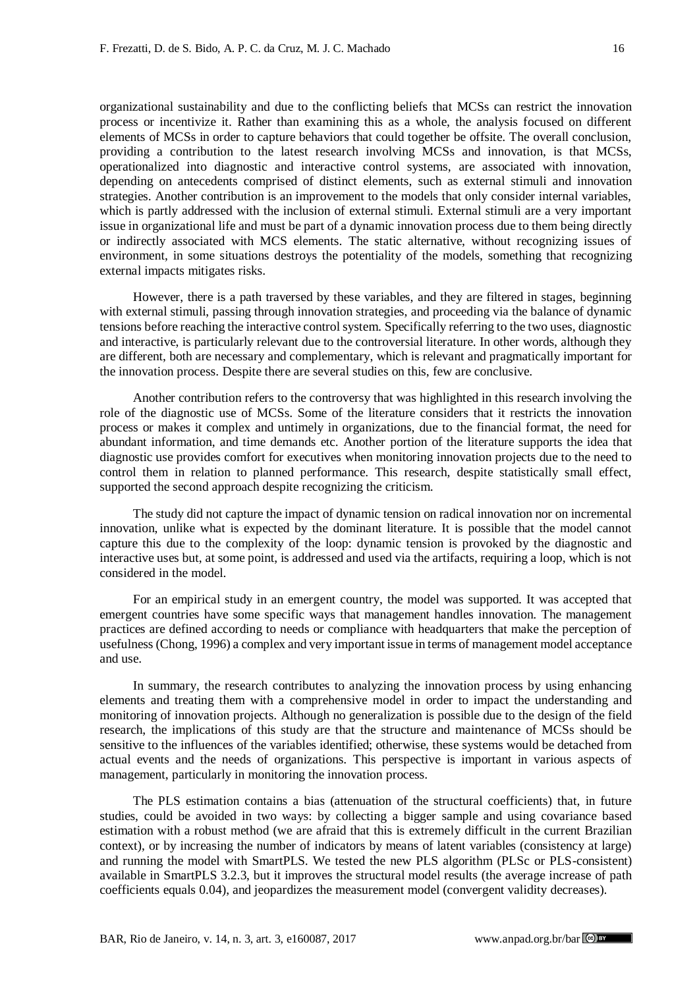organizational sustainability and due to the conflicting beliefs that MCSs can restrict the innovation process or incentivize it. Rather than examining this as a whole, the analysis focused on different elements of MCSs in order to capture behaviors that could together be offsite. The overall conclusion, providing a contribution to the latest research involving MCSs and innovation, is that MCSs, operationalized into diagnostic and interactive control systems, are associated with innovation, depending on antecedents comprised of distinct elements, such as external stimuli and innovation strategies. Another contribution is an improvement to the models that only consider internal variables, which is partly addressed with the inclusion of external stimuli. External stimuli are a very important issue in organizational life and must be part of a dynamic innovation process due to them being directly or indirectly associated with MCS elements. The static alternative, without recognizing issues of environment, in some situations destroys the potentiality of the models, something that recognizing external impacts mitigates risks.

However, there is a path traversed by these variables, and they are filtered in stages, beginning with external stimuli, passing through innovation strategies, and proceeding via the balance of dynamic tensions before reaching the interactive control system. Specifically referring to the two uses, diagnostic and interactive, is particularly relevant due to the controversial literature. In other words, although they are different, both are necessary and complementary, which is relevant and pragmatically important for the innovation process. Despite there are several studies on this, few are conclusive.

Another contribution refers to the controversy that was highlighted in this research involving the role of the diagnostic use of MCSs. Some of the literature considers that it restricts the innovation process or makes it complex and untimely in organizations, due to the financial format, the need for abundant information, and time demands etc. Another portion of the literature supports the idea that diagnostic use provides comfort for executives when monitoring innovation projects due to the need to control them in relation to planned performance. This research, despite statistically small effect, supported the second approach despite recognizing the criticism.

The study did not capture the impact of dynamic tension on radical innovation nor on incremental innovation, unlike what is expected by the dominant literature. It is possible that the model cannot capture this due to the complexity of the loop: dynamic tension is provoked by the diagnostic and interactive uses but, at some point, is addressed and used via the artifacts, requiring a loop, which is not considered in the model.

For an empirical study in an emergent country, the model was supported. It was accepted that emergent countries have some specific ways that management handles innovation. The management practices are defined according to needs or compliance with headquarters that make the perception of usefulness (Chong, 1996) a complex and very important issue in terms of management model acceptance and use.

In summary, the research contributes to analyzing the innovation process by using enhancing elements and treating them with a comprehensive model in order to impact the understanding and monitoring of innovation projects. Although no generalization is possible due to the design of the field research, the implications of this study are that the structure and maintenance of MCSs should be sensitive to the influences of the variables identified; otherwise, these systems would be detached from actual events and the needs of organizations. This perspective is important in various aspects of management, particularly in monitoring the innovation process.

The PLS estimation contains a bias (attenuation of the structural coefficients) that, in future studies, could be avoided in two ways: by collecting a bigger sample and using covariance based estimation with a robust method (we are afraid that this is extremely difficult in the current Brazilian context), or by increasing the number of indicators by means of latent variables (consistency at large) and running the model with SmartPLS. We tested the new PLS algorithm (PLSc or PLS-consistent) available in SmartPLS 3.2.3, but it improves the structural model results (the average increase of path coefficients equals 0.04), and jeopardizes the measurement model (convergent validity decreases).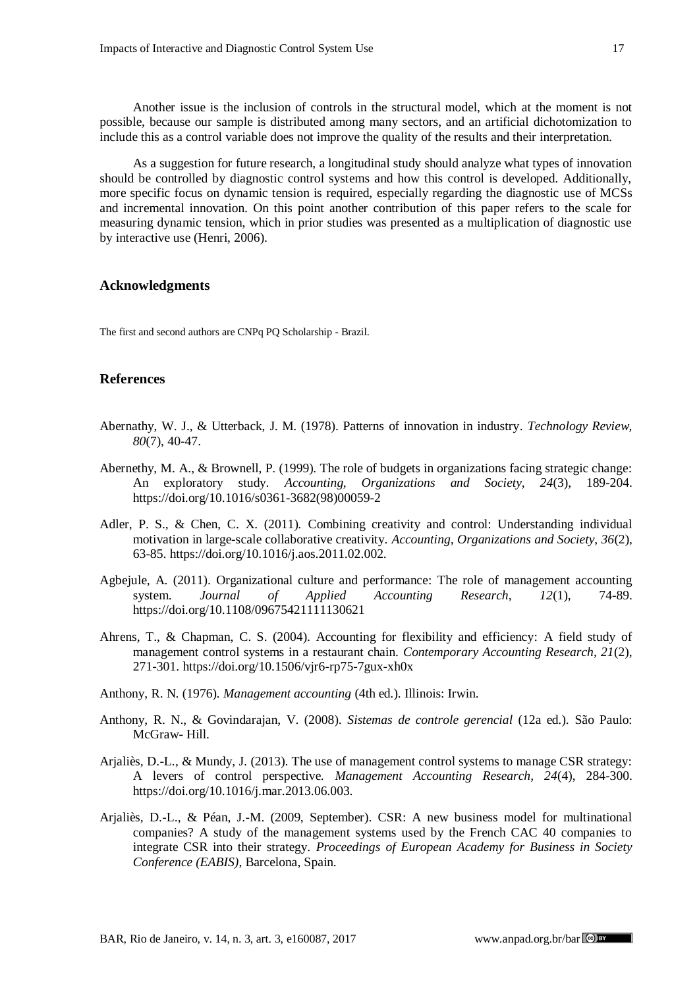Another issue is the inclusion of controls in the structural model, which at the moment is not possible, because our sample is distributed among many sectors, and an artificial dichotomization to include this as a control variable does not improve the quality of the results and their interpretation.

As a suggestion for future research, a longitudinal study should analyze what types of innovation should be controlled by diagnostic control systems and how this control is developed. Additionally, more specific focus on dynamic tension is required, especially regarding the diagnostic use of MCSs and incremental innovation. On this point another contribution of this paper refers to the scale for measuring dynamic tension, which in prior studies was presented as a multiplication of diagnostic use by interactive use (Henri, 2006).

## **Acknowledgments**

The first and second authors are CNPq PQ Scholarship - Brazil.

# **References**

- Abernathy, W. J., & Utterback, J. M. (1978). Patterns of innovation in industry. *Technology Review, 80*(7), 40-47.
- Abernethy, M. A., & Brownell, P. (1999). The role of budgets in organizations facing strategic change: An exploratory study. *Accounting, Organizations and Society, 24*(3), 189-204. https://doi.org/10.1016/s0361-3682(98)00059-2
- Adler, P. S., & Chen, C. X. (2011). Combining creativity and control: Understanding individual motivation in large-scale collaborative creativity. *Accounting, Organizations and Society, 36*(2), 63-85. https://doi.org/10.1016/j.aos.2011.02.002.
- Agbejule, A. (2011). Organizational culture and performance: The role of management accounting system. *Journal of Applied Accounting Research, 12*(1), 74-89. https://doi.org/10.1108/09675421111130621
- Ahrens, T., & Chapman, C. S. (2004). Accounting for flexibility and efficiency: A field study of management control systems in a restaurant chain. *Contemporary Accounting Research, 21*(2), 271-301. https://doi.org/10.1506/vjr6-rp75-7gux-xh0x

Anthony, R. N. (1976). *Management accounting* (4th ed.). Illinois: Irwin.

- Anthony, R. N., & Govindarajan, V. (2008). *Sistemas de controle gerencial* (12a ed.). São Paulo: McGraw- Hill.
- Arjaliès, D.-L., & Mundy, J. (2013). The use of management control systems to manage CSR strategy: A levers of control perspective. *Management Accounting Research, 24*(4), 284-300. https://doi.org/10.1016/j.mar.2013.06.003.
- Arjaliès, D.-L., & Péan, J.-M. (2009, September). CSR: A new business model for multinational companies? A study of the management systems used by the French CAC 40 companies to integrate CSR into their strategy. *Proceedings of European Academy for Business in Society Conference (EABIS)*, Barcelona, Spain.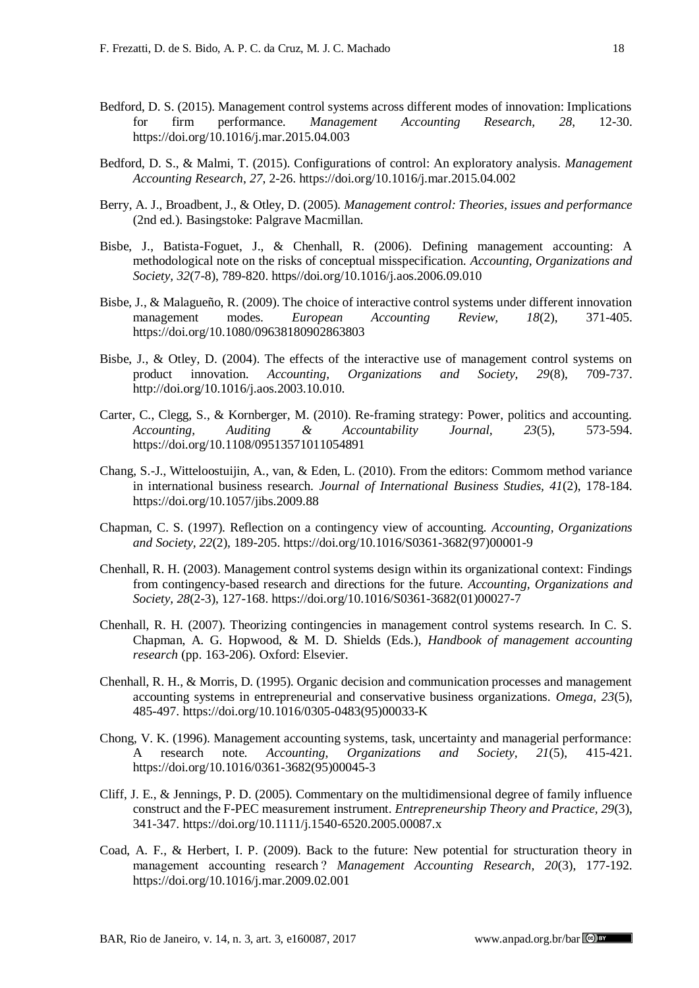- Bedford, D. S. (2015). Management control systems across different modes of innovation: Implications for firm performance. *Management Accounting Research, 28*, 12-30. https://doi.org/10.1016/j.mar.2015.04.003
- Bedford, D. S., & Malmi, T. (2015). Configurations of control: An exploratory analysis. *Management Accounting Research*, *27*, 2-26. https://doi.org/10.1016/j.mar.2015.04.002
- Berry, A. J., Broadbent, J., & Otley, D. (2005). *Management control: Theories, issues and performance* (2nd ed.). Basingstoke: Palgrave Macmillan.
- Bisbe, J., Batista-Foguet, J., & Chenhall, R. (2006). Defining management accounting: A methodological note on the risks of conceptual misspecification. *Accounting, Organizations and Society, 32*(7-8), 789-820. https//doi.org/10.1016/j.aos.2006.09.010
- Bisbe, J., & Malagueño, R. (2009). The choice of interactive control systems under different innovation management modes. *European Accounting Review, 18*(2), 371-405. https://doi.org/10.1080/09638180902863803
- Bisbe, J., & Otley, D. (2004). The effects of the interactive use of management control systems on product innovation. *Accounting, Organizations and Society, 29*(8), 709-737. http://doi.org/10.1016/j.aos.2003.10.010.
- Carter, C., Clegg, S., & Kornberger, M. (2010). Re-framing strategy: Power, politics and accounting. *Accounting, Auditing & Accountability Journal, 23*(5), 573-594. https://doi.org/10.1108/09513571011054891
- Chang, S.-J., Witteloostuijin, A., van, & Eden, L. (2010). From the editors: Commom method variance in international business research. *Journal of International Business Studies, 41*(2), 178-184. https://doi.org/10.1057/jibs.2009.88
- Chapman, C. S. (1997). Reflection on a contingency view of accounting. *Accounting, Organizations and Society, 22*(2), 189-205. https://doi.org/10.1016/S0361-3682(97)00001-9
- Chenhall, R. H. (2003). Management control systems design within its organizational context: Findings from contingency-based research and directions for the future. *Accounting, Organizations and Society, 28*(2-3), 127-168. https://doi.org/10.1016/S0361-3682(01)00027-7
- Chenhall, R. H. (2007). Theorizing contingencies in management control systems research. In C. S. Chapman, A. G. Hopwood, & M. D. Shields (Eds.), *Handbook of management accounting research* (pp. 163-206). Oxford: Elsevier.
- Chenhall, R. H., & Morris, D. (1995). Organic decision and communication processes and management accounting systems in entrepreneurial and conservative business organizations. *Omega, 23*(5), 485-497. https://doi.org/10.1016/0305-0483(95)00033-K
- Chong, V. K. (1996). Management accounting systems, task, uncertainty and managerial performance: A research note. *Accounting, Organizations and Society, 21*(5), 415-421. https://doi.org/10.1016/0361-3682(95)00045-3
- Cliff, J. E., & Jennings, P. D. (2005). Commentary on the multidimensional degree of family influence construct and the F-PEC measurement instrument. *Entrepreneurship Theory and Practice, 29*(3), 341-347. https://doi.org/10.1111/j.1540-6520.2005.00087.x
- Coad, A. F., & Herbert, I. P. (2009). Back to the future: New potential for structuration theory in management accounting research ? *Management Accounting Research, 20*(3), 177-192. https://doi.org/10.1016/j.mar.2009.02.001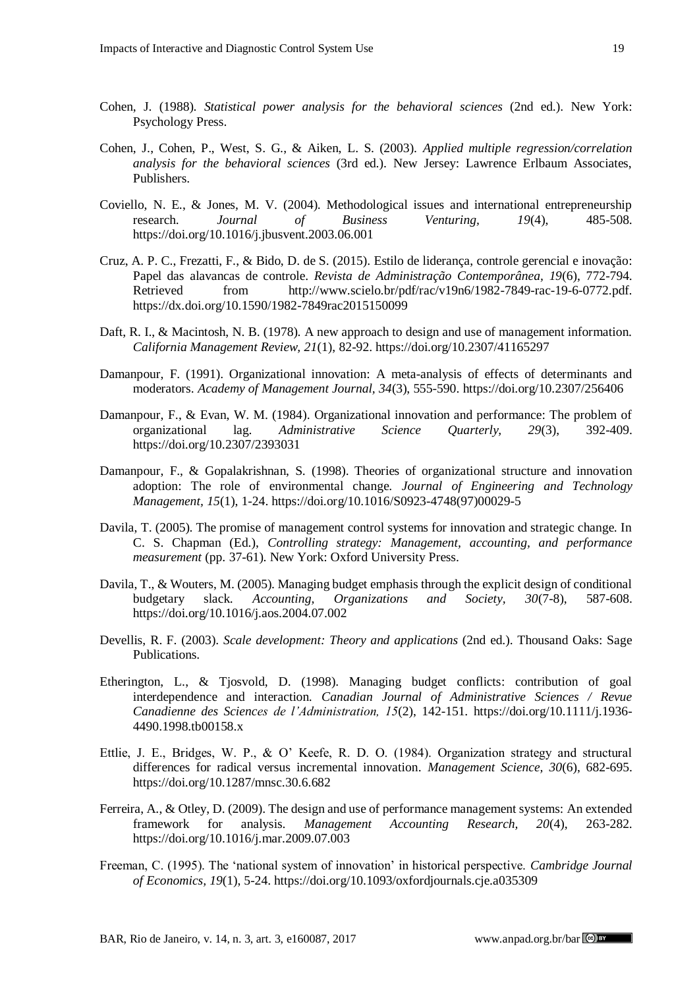- Cohen, J. (1988). *Statistical power analysis for the behavioral sciences* (2nd ed.). New York: Psychology Press.
- Cohen, J., Cohen, P., West, S. G., & Aiken, L. S. (2003). *Applied multiple regression/correlation analysis for the behavioral sciences* (3rd ed.). New Jersey: Lawrence Erlbaum Associates, Publishers.
- Coviello, N. E., & Jones, M. V. (2004). Methodological issues and international entrepreneurship research. *Journal of Business Venturing, 19*(4), 485-508. https://doi.org/10.1016/j.jbusvent.2003.06.001
- Cruz, A. P. C., Frezatti, F., & Bido, D. de S. (2015). Estilo de liderança, controle gerencial e inovação: Papel das alavancas de controle. *Revista de Administração Contemporânea, 19*(6), 772-794. Retrieved from http://www.scielo.br/pdf/rac/v19n6/1982-7849-rac-19-6-0772.pdf. https://dx.doi.org/10.1590/1982-7849rac2015150099
- Daft, R. I., & Macintosh, N. B. (1978). A new approach to design and use of management information. *California Management Review, 21*(1), 82-92. https://doi.org/10.2307/41165297
- Damanpour, F. (1991). Organizational innovation: A meta-analysis of effects of determinants and moderators. *Academy of Management Journal, 34*(3), 555-590. https://doi.org/10.2307/256406
- Damanpour, F., & Evan, W. M. (1984). Organizational innovation and performance: The problem of organizational lag. *Administrative Science Quarterly, 29*(3), 392-409. https://doi.org/10.2307/2393031
- Damanpour, F., & Gopalakrishnan, S. (1998). Theories of organizational structure and innovation adoption: The role of environmental change. *Journal of Engineering and Technology Management, 15*(1), 1-24. https://doi.org/10.1016/S0923-4748(97)00029-5
- Davila, T. (2005). The promise of management control systems for innovation and strategic change. In C. S. Chapman (Ed.), *Controlling strategy: Management, accounting, and performance measurement* (pp. 37-61). New York: Oxford University Press.
- Davila, T., & Wouters, M. (2005). Managing budget emphasis through the explicit design of conditional budgetary slack. *Accounting, Organizations and Society, 30*(7-8), 587-608. https://doi.org/10.1016/j.aos.2004.07.002
- Devellis, R. F. (2003). *Scale development: Theory and applications* (2nd ed.). Thousand Oaks: Sage Publications.
- Etherington, L., & Tjosvold, D. (1998). Managing budget conflicts: contribution of goal interdependence and interaction. *Canadian Journal of Administrative Sciences / Revue Canadienne des Sciences de l'Administration, 15*(2), 142-151. https://doi.org/10.1111/j.1936- 4490.1998.tb00158.x
- Ettlie, J. E., Bridges, W. P., & O' Keefe, R. D. O. (1984). Organization strategy and structural differences for radical versus incremental innovation. *Management Science, 30*(6), 682-695. https://doi.org/10.1287/mnsc.30.6.682
- Ferreira, A., & Otley, D. (2009). The design and use of performance management systems: An extended framework for analysis. *Management Accounting Research, 20*(4), 263-282. https://doi.org/10.1016/j.mar.2009.07.003
- Freeman, C. (1995). The 'national system of innovation' in historical perspective. *Cambridge Journal of Economics, 19*(1), 5-24. https://doi.org/10.1093/oxfordjournals.cje.a035309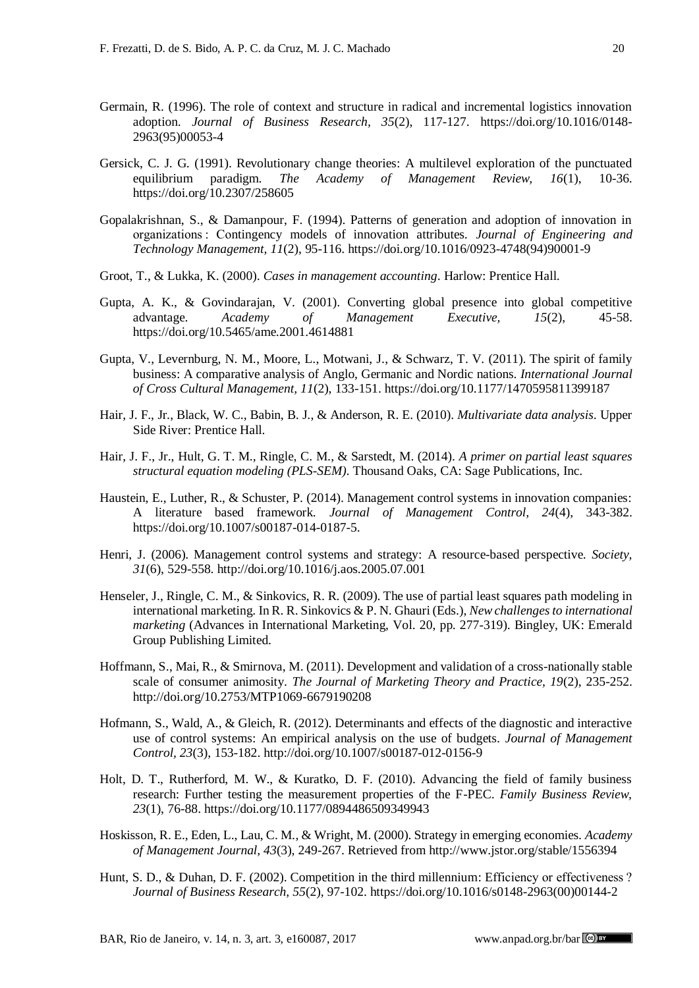- Germain, R. (1996). The role of context and structure in radical and incremental logistics innovation adoption. *Journal of Business Research, 35*(2), 117-127. https://doi.org/10.1016/0148- 2963(95)00053-4
- Gersick, C. J. G. (1991). Revolutionary change theories: A multilevel exploration of the punctuated equilibrium paradigm. *The Academy of Management Review, 16*(1), 10-36. https://doi.org/10.2307/258605
- Gopalakrishnan, S., & Damanpour, F. (1994). Patterns of generation and adoption of innovation in organizations : Contingency models of innovation attributes. *Journal of Engineering and Technology Management, 11*(2), 95-116. https://doi.org/10.1016/0923-4748(94)90001-9
- Groot, T., & Lukka, K. (2000). *Cases in management accounting*. Harlow: Prentice Hall.
- Gupta, A. K., & Govindarajan, V. (2001). Converting global presence into global competitive advantage. *Academy of Management Executive, 15*(2), 45-58. https://doi.org/10.5465/ame.2001.4614881
- Gupta, V., Levernburg, N. M., Moore, L., Motwani, J., & Schwarz, T. V. (2011). The spirit of family business: A comparative analysis of Anglo, Germanic and Nordic nations. *International Journal of Cross Cultural Management, 11*(2), 133-151. https://doi.org/10.1177/1470595811399187
- Hair, J. F., Jr., Black, W. C., Babin, B. J., & Anderson, R. E. (2010). *Multivariate data analysis*. Upper Side River: Prentice Hall.
- Hair, J. F., Jr., Hult, G. T. M., Ringle, C. M., & Sarstedt, M. (2014). *A primer on partial least squares structural equation modeling (PLS-SEM).* Thousand Oaks, CA: Sage Publications, Inc.
- Haustein, E., Luther, R., & Schuster, P. (2014). Management control systems in innovation companies: A literature based framework. *Journal of Management Control, 24*(4), 343-382. https://doi.org/10.1007/s00187-014-0187-5.
- Henri, J. (2006). Management control systems and strategy: A resource-based perspective. *Society, 31*(6), 529-558. http://doi.org/10.1016/j.aos.2005.07.001
- Henseler, J., Ringle, C. M., & Sinkovics, R. R. (2009). The use of partial least squares path modeling in international marketing. In R. R. Sinkovics & P. N. Ghauri (Eds.), *New challenges to international marketing* (Advances in International Marketing, Vol. 20, pp. 277-319). Bingley, UK: Emerald Group Publishing Limited.
- Hoffmann, S., Mai, R., & Smirnova, M. (2011). Development and validation of a cross-nationally stable scale of consumer animosity. *The Journal of Marketing Theory and Practice, 19*(2), 235-252. http://doi.org/10.2753/MTP1069-6679190208
- Hofmann, S., Wald, A., & Gleich, R. (2012). Determinants and effects of the diagnostic and interactive use of control systems: An empirical analysis on the use of budgets. *Journal of Management Control, 23*(3), 153-182. http://doi.org/10.1007/s00187-012-0156-9
- Holt, D. T., Rutherford, M. W., & Kuratko, D. F. (2010). Advancing the field of family business research: Further testing the measurement properties of the F-PEC. *Family Business Review, 23*(1), 76-88. https://doi.org/10.1177/0894486509349943
- Hoskisson, R. E., Eden, L., Lau, C. M., & Wright, M. (2000). Strategy in emerging economies. *Academy of Management Journal, 43*(3), 249-267. Retrieved from http://www.jstor.org/stable/1556394
- Hunt, S. D., & Duhan, D. F. (2002). Competition in the third millennium: Efficiency or effectiveness ? *Journal of Business Research, 55*(2), 97-102. https://doi.org/10.1016/s0148-2963(00)00144-2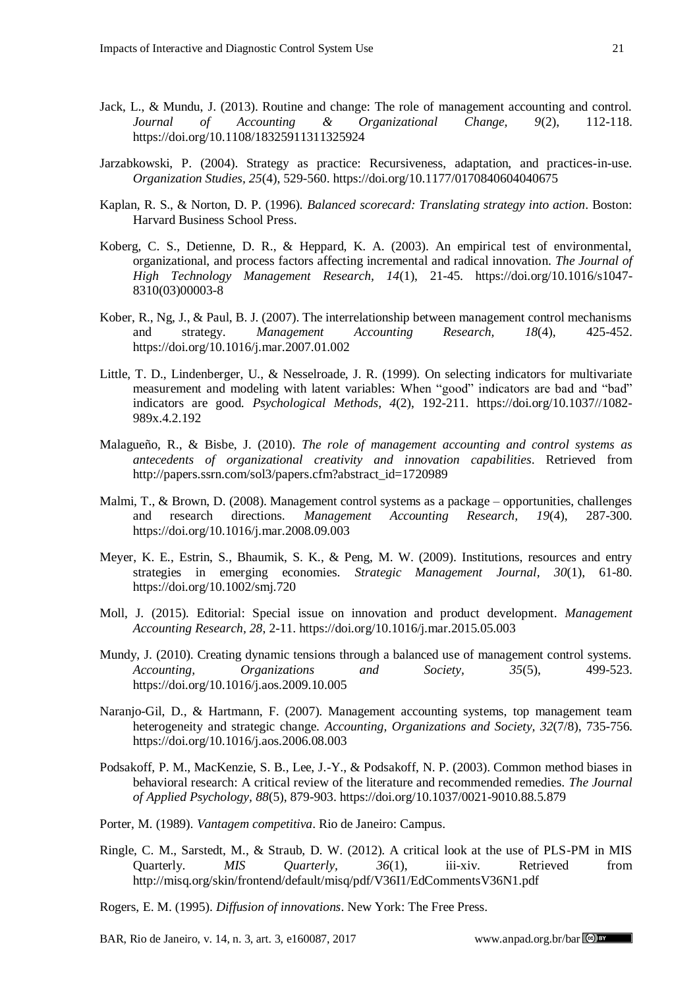- Jack, L., & Mundu, J. (2013). Routine and change: The role of management accounting and control. *Journal of Accounting & Organizational Change, 9*(2), 112-118. https://doi.org/10.1108/18325911311325924
- Jarzabkowski, P. (2004). Strategy as practice: Recursiveness, adaptation, and practices-in-use. *Organization Studies, 25*(4), 529-560. https://doi.org/10.1177/0170840604040675
- Kaplan, R. S., & Norton, D. P. (1996). *Balanced scorecard: Translating strategy into action*. Boston: Harvard Business School Press.
- Koberg, C. S., Detienne, D. R., & Heppard, K. A. (2003). An empirical test of environmental, organizational, and process factors affecting incremental and radical innovation. *The Journal of High Technology Management Research, 14*(1), 21-45. https://doi.org/10.1016/s1047- 8310(03)00003-8
- Kober, R., Ng, J., & Paul, B. J. (2007). The interrelationship between management control mechanisms and strategy. *Management Accounting Research, 18*(4), 425-452. https://doi.org/10.1016/j.mar.2007.01.002
- Little, T. D., Lindenberger, U., & Nesselroade, J. R. (1999). On selecting indicators for multivariate measurement and modeling with latent variables: When "good" indicators are bad and "bad" indicators are good. *Psychological Methods, 4*(2), 192-211. https://doi.org/10.1037//1082- 989x.4.2.192
- Malagueño, R., & Bisbe, J. (2010). *The role of management accounting and control systems as antecedents of organizational creativity and innovation capabilities*. Retrieved from http://papers.ssrn.com/sol3/papers.cfm?abstract\_id=1720989
- Malmi, T., & Brown, D. (2008). Management control systems as a package opportunities, challenges and research directions. *Management Accounting Research, 19*(4), 287-300. https://doi.org/10.1016/j.mar.2008.09.003
- Meyer, K. E., Estrin, S., Bhaumik, S. K., & Peng, M. W. (2009). Institutions, resources and entry strategies in emerging economies. *Strategic Management Journal, 30*(1), 61-80. https://doi.org/10.1002/smj.720
- Moll, J. (2015). Editorial: Special issue on innovation and product development. *Management Accounting Research, 28*, 2-11. https://doi.org/10.1016/j.mar.2015.05.003
- Mundy, J. (2010). Creating dynamic tensions through a balanced use of management control systems. *Accounting, Organizations and Society, 35*(5), 499-523. https://doi.org/10.1016/j.aos.2009.10.005
- Naranjo-Gil, D., & Hartmann, F. (2007). Management accounting systems, top management team heterogeneity and strategic change. *Accounting, Organizations and Society, 32*(7/8), 735-756. https://doi.org/10.1016/j.aos.2006.08.003
- Podsakoff, P. M., MacKenzie, S. B., Lee, J.-Y., & Podsakoff, N. P. (2003). Common method biases in behavioral research: A critical review of the literature and recommended remedies. *The Journal of Applied Psychology, 88*(5), 879-903. https://doi.org/10.1037/0021-9010.88.5.879
- Porter, M. (1989). *Vantagem competitiva*. Rio de Janeiro: Campus.
- Ringle, C. M., Sarstedt, M., & Straub, D. W. (2012). A critical look at the use of PLS-PM in MIS Quarterly. *MIS Quarterly, 36*(1), iii-xiv. Retrieved from http://misq.org/skin/frontend/default/misq/pdf/V36I1/EdCommentsV36N1.pdf
- Rogers, E. M. (1995). *Diffusion of innovations*. New York: The Free Press.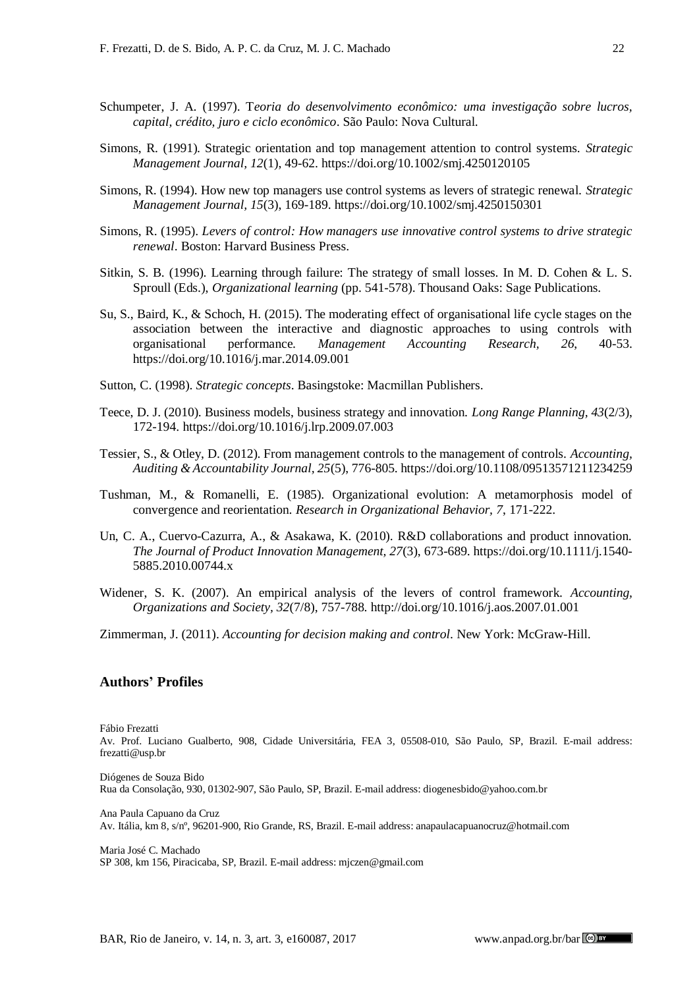- Schumpeter, J. A. (1997). T*eoria do desenvolvimento econômico: uma investigação sobre lucros, capital, crédito, juro e ciclo econômico*. São Paulo: Nova Cultural.
- Simons, R. (1991). Strategic orientation and top management attention to control systems. *Strategic Management Journal, 12*(1), 49-62. https://doi.org/10.1002/smj.4250120105
- Simons, R. (1994). How new top managers use control systems as levers of strategic renewal. *Strategic Management Journal, 15*(3), 169-189. https://doi.org/10.1002/smj.4250150301
- Simons, R. (1995). *Levers of control: How managers use innovative control systems to drive strategic renewal*. Boston: Harvard Business Press.
- Sitkin, S. B. (1996). Learning through failure: The strategy of small losses. In M. D. Cohen & L. S. Sproull (Eds.), *Organizational learning* (pp. 541-578). Thousand Oaks: Sage Publications.
- Su, S., Baird, K., & Schoch, H. (2015). The moderating effect of organisational life cycle stages on the association between the interactive and diagnostic approaches to using controls with organisational performance. *Management Accounting Research, 26*, 40-53. https://doi.org/10.1016/j.mar.2014.09.001
- Sutton, C. (1998). *Strategic concepts*. Basingstoke: Macmillan Publishers.
- Teece, D. J. (2010). Business models, business strategy and innovation. *Long Range Planning, 43*(2/3), 172-194. https://doi.org/10.1016/j.lrp.2009.07.003
- Tessier, S., & Otley, D. (2012). From management controls to the management of controls. *Accounting, Auditing & Accountability Journal, 25*(5), 776-805. https://doi.org/10.1108/09513571211234259
- Tushman, M., & Romanelli, E. (1985). Organizational evolution: A metamorphosis model of convergence and reorientation. *Research in Organizational Behavior, 7*, 171-222.
- Un, C. A., Cuervo-Cazurra, A., & Asakawa, K. (2010). R&D collaborations and product innovation. *The Journal of Product Innovation Management, 27*(3), 673-689. https://doi.org/10.1111/j.1540- 5885.2010.00744.x
- Widener, S. K. (2007). An empirical analysis of the levers of control framework. *Accounting, Organizations and Society, 32*(7/8), 757-788. http://doi.org/10.1016/j.aos.2007.01.001

Zimmerman, J. (2011). *Accounting for decision making and control*. New York: McGraw-Hill.

# **Authors' Profiles**

Fábio Frezatti

Av. Prof. Luciano Gualberto, 908, Cidade Universitária, FEA 3, 05508-010, São Paulo, SP, Brazil. E-mail address: frezatti@usp.br

Diógenes de Souza Bido Rua da Consolação, 930, 01302-907, São Paulo, SP, Brazil. E-mail address: diogenesbido@yahoo.com.br

Ana Paula Capuano da Cruz Av. Itália, km 8, s/nº, 96201-900, Rio Grande, RS, Brazil. E-mail address: anapaulacapuanocruz@hotmail.com

Maria José C. Machado SP 308, km 156, Piracicaba, SP, Brazil. E-mail address: mjczen@gmail.com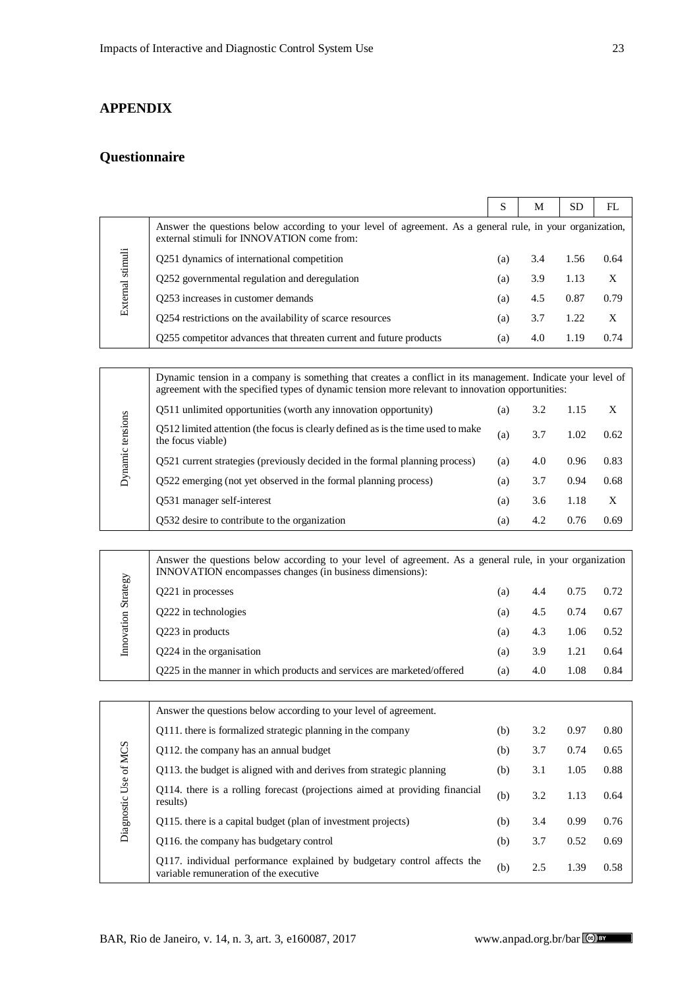# **APPENDIX**

# **Questionnaire**

|                  |                                                                                                                                                         | S   | M   | <b>SD</b> | FL   |
|------------------|---------------------------------------------------------------------------------------------------------------------------------------------------------|-----|-----|-----------|------|
| External stimuli | Answer the questions below according to your level of agreement. As a general rule, in your organization,<br>external stimuli for INNOVATION come from: |     |     |           |      |
|                  | Q251 dynamics of international competition                                                                                                              | (a) | 3.4 | 1.56      | 0.64 |
|                  | Q252 governmental regulation and deregulation                                                                                                           | (a) | 3.9 | 1.13      | X    |
|                  | O253 increases in customer demands                                                                                                                      | (a) | 4.5 | 0.87      | 0.79 |
|                  | Q254 restrictions on the availability of scarce resources                                                                                               | (a) | 3.7 | 1.22      | X    |
|                  | Q255 competitor advances that threaten current and future products                                                                                      | (a) | 4.0 | 1.19      | 0.74 |

| Dynamic tensions | Dynamic tension in a company is something that creates a conflict in its management. Indicate your level of<br>agreement with the specified types of dynamic tension more relevant to innovation opportunities: |     |     |      |      |  |  |  |
|------------------|-----------------------------------------------------------------------------------------------------------------------------------------------------------------------------------------------------------------|-----|-----|------|------|--|--|--|
|                  | Q511 unlimited opportunities (worth any innovation opportunity)                                                                                                                                                 | (a) | 3.2 | 1.15 |      |  |  |  |
|                  | Q512 limited attention (the focus is clearly defined as is the time used to make<br>the focus viable)                                                                                                           | (a) | 3.7 | 1.02 | 0.62 |  |  |  |
|                  | Q521 current strategies (previously decided in the formal planning process)                                                                                                                                     | (a) | 4.0 | 0.96 | 0.83 |  |  |  |
|                  | Q522 emerging (not yet observed in the formal planning process)                                                                                                                                                 | (a) | 3.7 | 0.94 | 0.68 |  |  |  |
|                  | Q531 manager self-interest                                                                                                                                                                                      | (a) | 3.6 | 1.18 | X    |  |  |  |
|                  | Q532 desire to contribute to the organization                                                                                                                                                                   | (a) | 4.2 | 0.76 | 0.69 |  |  |  |

|                     | Answer the questions below according to your level of agreement. As a general rule, in your organization<br>INNOVATION encompasses changes (in business dimensions): |     |     |      |      |  |  |  |  |
|---------------------|----------------------------------------------------------------------------------------------------------------------------------------------------------------------|-----|-----|------|------|--|--|--|--|
| Innovation Strategy | Q221 in processes                                                                                                                                                    | (a) | 4.4 | 0.75 | 0.72 |  |  |  |  |
|                     | O222 in technologies                                                                                                                                                 | (a) | 4.5 | 0.74 | 0.67 |  |  |  |  |
|                     | Q223 in products                                                                                                                                                     | (a) | 4.3 | 1.06 | 0.52 |  |  |  |  |
|                     | Q224 in the organisation                                                                                                                                             | (a) | 3.9 | 1.21 | 0.64 |  |  |  |  |
|                     | Q225 in the manner in which products and services are marketed/offered                                                                                               | (a) | 4.0 | 1.08 | 0.84 |  |  |  |  |

| Diagnostic Use of MCS | Answer the questions below according to your level of agreement.                                                  |     |     |      |      |
|-----------------------|-------------------------------------------------------------------------------------------------------------------|-----|-----|------|------|
|                       | Q111. there is formalized strategic planning in the company                                                       | (b) | 3.2 | 0.97 | 0.80 |
|                       | Q112. the company has an annual budget                                                                            | (b) | 3.7 | 0.74 | 0.65 |
|                       | Q113. the budget is aligned with and derives from strategic planning                                              | (b) | 3.1 | 1.05 | 0.88 |
|                       | Q114. there is a rolling forecast (projections aimed at providing financial<br>results)                           | (b) | 3.2 | 1.13 | 0.64 |
|                       | Q115, there is a capital budget (plan of investment projects)                                                     | (b) | 3.4 | 0.99 | 0.76 |
|                       | 0116, the company has budgetary control                                                                           | (b) | 3.7 | 0.52 | 0.69 |
|                       | Q117. individual performance explained by budgetary control affects the<br>variable remuneration of the executive | (b) | 2.5 | 1.39 | 0.58 |

 $\blacksquare$